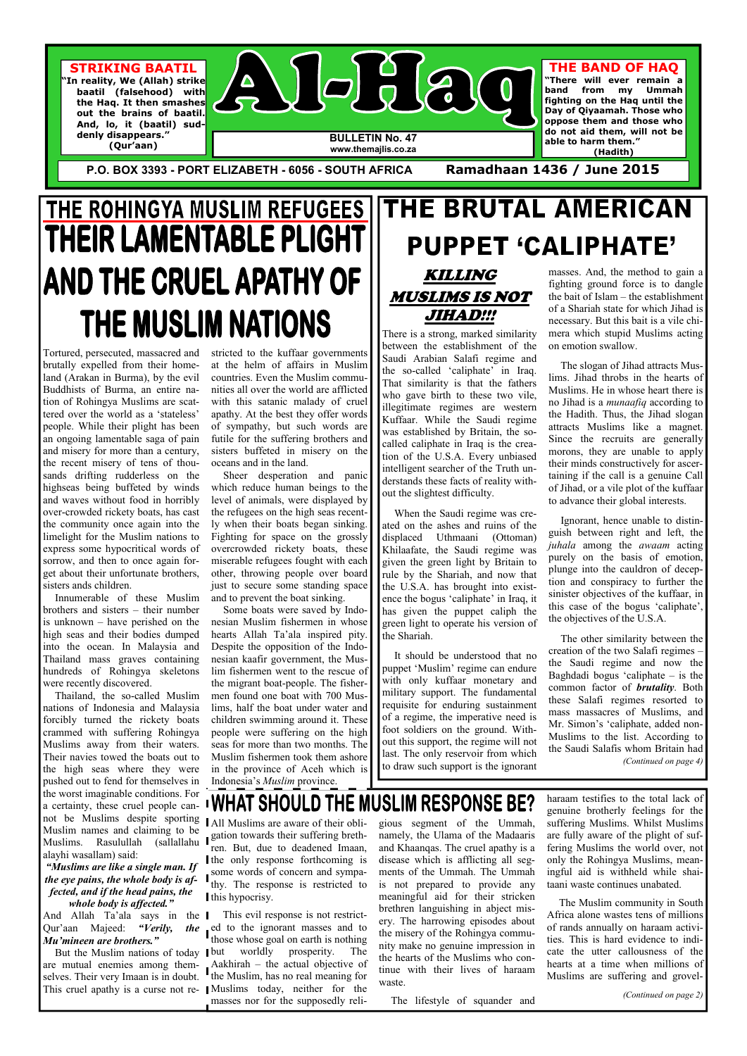**BULLETIN No. 47 www.themajlis.co.za** 

**P.O. BOX 3393 - PORT ELIZABETH - 6056 - SOUTH AFRICA Ramadhaan 1436 / June 2015** 

# THE ROHINGYA MUSLIM REFUGEES THEIR LAMENTABLE PLIGHT AND THE CRUEL APATHY OF THE MUSLIM NATIONS





**THE BAND OF HAQ "There will ever remain a band from my Ummah fighting on the Haq until the Day of Qiyaamah. Those who oppose them and those who do not aid them, will not be** 

**able to harm them."** 

**(Hadith)** 

Tortured, persecuted, massacred and brutally expelled from their homeland (Arakan in Burma), by the evil Buddhists of Burma, an entire nation of Rohingya Muslims are scattered over the world as a 'stateless' people. While their plight has been an ongoing lamentable saga of pain and misery for more than a century, the recent misery of tens of thousands drifting rudderless on the highseas being buffeted by winds and waves without food in horribly over-crowded rickety boats, has cast the community once again into the limelight for the Muslim nations to express some hypocritical words of sorrow, and then to once again forget about their unfortunate brothers, sisters ands children.

 Innumerable of these Muslim brothers and sisters – their number is unknown – have perished on the high seas and their bodies dumped into the ocean. In Malaysia and Thailand mass graves containing hundreds of Rohingya skeletons were recently discovered.

### THE BRUTAL AMERICAN **PUPPET 'CALIPHATE'** masses. And, the method to gain a KILLING MUSLIMS IS NOT JIHAD!!!

 Thailand, the so-called Muslim nations of Indonesia and Malaysia forcibly turned the rickety boats crammed with suffering Rohingya Muslims away from their waters. Their navies towed the boats out to the high seas where they were pushed out to fend for themselves in the worst imaginable conditions. For a certainty, these cruel people cannot be Muslims despite sporting Muslim names and claiming to be Muslims. Rasulullah (sallallahu alayhi wasallam) said: *"Muslims are like a single man. If the eye pains, the whole body is affected, and if the head pains, the whole body is affected."*  And Allah Ta'ala says in the I Qur'aan Majeed: *"Verily, the Mu'mineen are brothers."*  But the Muslim nations of today **I** but worldly prosperity. The are mutual enemies among themselves. Their very Imaan is in doubt. This cruel apathy is a curse not re-

stricted to the kuffaar governments at the helm of affairs in Muslim countries. Even the Muslim communities all over the world are afflicted with this satanic malady of cruel apathy. At the best they offer words of sympathy, but such words are futile for the suffering brothers and sisters buffeted in misery on the oceans and in the land.

 Sheer desperation and panic which reduce human beings to the level of animals, were displayed by the refugees on the high seas recently when their boats began sinking. Fighting for space on the grossly overcrowded rickety boats, these miserable refugees fought with each other, throwing people over board just to secure some standing space and to prevent the boat sinking.

All Muslims are aware of their obligation towards their suffering brethren. But, due to deadened Imaan, I the only response forthcoming is  $\int_{\text{the term}}^{\text{some words}}$  of concern and sympathy. The response is restricted to I this hypocrisy.

 Some boats were saved by Indonesian Muslim fishermen in whose hearts Allah Ta'ala inspired pity. Despite the opposition of the Indonesian kaafir government, the Muslim fishermen went to the rescue of the migrant boat-people. The fishermen found one boat with 700 Muslims, half the boat under water and children swimming around it. These people were suffering on the high seas for more than two months. The Muslim fishermen took them ashore in the province of Aceh which is Indonesia's *Muslim* province.

There is a strong, marked similarity between the establishment of the Saudi Arabian Salafi regime and the so-called 'caliphate' in Iraq. That similarity is that the fathers who gave birth to these two vile, illegitimate regimes are western Kuffaar. While the Saudi regime was established by Britain, the socalled caliphate in Iraq is the creation of the U.S.A. Every unbiased intelligent searcher of the Truth understands these facts of reality without the slightest difficulty.

 When the Saudi regime was created on the ashes and ruins of the displaced Uthmaani (Ottoman) Khilaafate, the Saudi regime was given the green light by Britain to rule by the Shariah, and now that the U.S.A. has brought into existence the bogus 'caliphate' in Iraq, it has given the puppet caliph the green light to operate his version of the Shariah.

 It should be understood that no puppet 'Muslim' regime can endure with only kuffaar monetary and military support. The fundamental requisite for enduring sustainment of a regime, the imperative need is foot soldiers on the ground. Without this support, the regime will not last. The only reservoir from which to draw such support is the ignorant

fighting ground force is to dangle the bait of Islam – the establishment of a Shariah state for which Jihad is necessary. But this bait is a vile chimera which stupid Muslims acting on emotion swallow.

 The slogan of Jihad attracts Muslims. Jihad throbs in the hearts of Muslims. He in whose heart there is no Jihad is a *munaafiq* according to the Hadith. Thus, the Jihad slogan attracts Muslims like a magnet. Since the recruits are generally morons, they are unable to apply their minds constructively for ascertaining if the call is a genuine Call of Jihad, or a vile plot of the kuffaar to advance their global interests.

 Ignorant, hence unable to distinguish between right and left, the *juhala* among the *awaam* acting purely on the basis of emotion, plunge into the cauldron of deception and conspiracy to further the sinister objectives of the kuffaar, in this case of the bogus 'caliphate', the objectives of the U.S.A.

 The other similarity between the creation of the two Salafi regimes – the Saudi regime and now the Baghdadi bogus 'caliphate  $-$  is the common factor of *brutality*. Both these Salafi regimes resorted to mass massacres of Muslims, and Mr. Simon's 'caliphate, added non-Muslims to the list. According to the Saudi Salafis whom Britain had *(Continued on page 4)* 

### **I WHAT SHOULD THE MUSLIM RESPONSE BE?**

 This evil response is not restricted to the ignorant masses and to those whose goal on earth is nothing Aakhirah – the actual objective of the Muslim, has no real meaning for Muslims today, neither for the masses nor for the supposedly reli-

gious segment of the Ummah, namely, the Ulama of the Madaaris and Khaanqas. The cruel apathy is a disease which is afflicting all segments of the Ummah. The Ummah is not prepared to provide any meaningful aid for their stricken brethren languishing in abject misery. The harrowing episodes about the misery of the Rohingya community make no genuine impression in the hearts of the Muslims who continue with their lives of haraam waste.

The lifestyle of squander and

haraam testifies to the total lack of genuine brotherly feelings for the suffering Muslims. Whilst Muslims are fully aware of the plight of suffering Muslims the world over, not only the Rohingya Muslims, meaningful aid is withheld while shaitaani waste continues unabated.

 The Muslim community in South Africa alone wastes tens of millions of rands annually on haraam activities. This is hard evidence to indicate the utter callousness of the hearts at a time when millions of Muslims are suffering and grovel-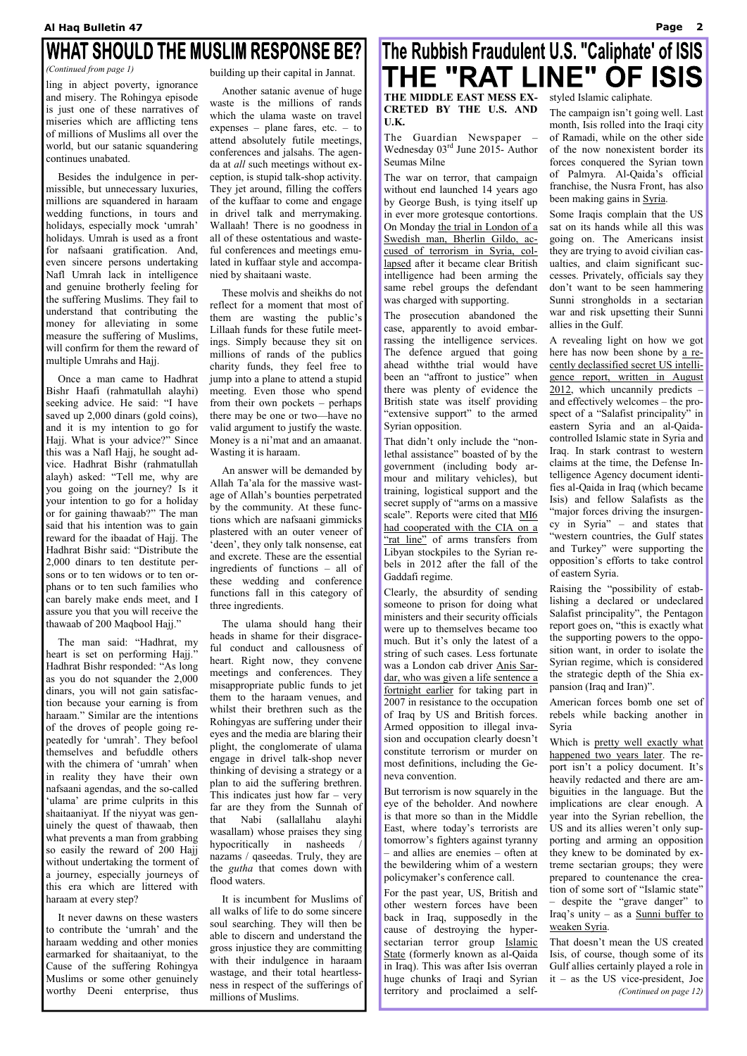## **WHAT SHOULD THE MUSLIM RESPONSE BE?**

### The Rubbish Fraudulent U.S. "Caliphate' of ISIS THE "RAT LINE" OF ISIS **THE MIDDLE EAST MESS EX-**

**CRETED BY THE U.S. AND U.K.** 

The Guardian Newspaper – Wednesday 03<sup>rd</sup> June 2015- Author Seumas Milne

The war on terror, that campaign without end launched 14 years ago by George Bush, is tying itself up in ever more grotesque contortions. On Monday the trial in London of a Swedish man, Bherlin Gildo, accused of terrorism in Syria, collapsed after it became clear British intelligence had been arming the same rebel groups the defendant was charged with supporting.

The prosecution abandoned the case, apparently to avoid embarrassing the intelligence services. The defence argued that going ahead withthe trial would have been an "affront to justice" when there was plenty of evidence the British state was itself providing "extensive support" to the armed Syrian opposition.

That didn't only include the "nonlethal assistance" boasted of by the government (including body armour and military vehicles), but training, logistical support and the secret supply of "arms on a massive scale". Reports were cited that MI6 had cooperated with the CIA on a "rat line" of arms transfers from Libyan stockpiles to the Syrian rebels in 2012 after the fall of the Gaddafi regime.

Clearly, the absurdity of sending someone to prison for doing what ministers and their security officials were up to themselves became too much. But it's only the latest of a string of such cases. Less fortunate was a London cab driver Anis Sardar, who was given a life sentence a fortnight earlier for taking part in 2007 in resistance to the occupation of Iraq by US and British forces. Armed opposition to illegal invasion and occupation clearly doesn't constitute terrorism or murder on most definitions, including the Geneva convention.

But terrorism is now squarely in the eye of the beholder. And nowhere is that more so than in the Middle East, where today's terrorists are tomorrow's fighters against tyranny – and allies are enemies – often at the bewildering whim of a western policymaker's conference call. For the past year, US, British and other western forces have been back in Iraq, supposedly in the cause of destroying the hypersectarian terror group Islamic State (formerly known as al-Qaida in Iraq). This was after Isis overran huge chunks of Iraqi and Syrian territory and proclaimed a self-

Which is pretty well exactly what happened two years later. The report isn't a policy document. It's heavily redacted and there are ambiguities in the language. But the implications are clear enough. A year into the Syrian rebellion, the US and its allies weren't only supporting and arming an opposition they knew to be dominated by extreme sectarian groups; they were prepared to countenance the creation of some sort of "Islamic state" – despite the "grave danger" to Iraq's unity – as a <u>Sunni buffer to</u> weaken Syria.

styled Islamic caliphate.

The campaign isn't going well. Last month, Isis rolled into the Iraqi city of Ramadi, while on the other side of the now nonexistent border its forces conquered the Syrian town of Palmyra. Al-Qaida's official franchise, the Nusra Front, has also been making gains in Syria.

Some Iraqis complain that the US sat on its hands while all this was going on. The Americans insist they are trying to avoid civilian casualties, and claim significant successes. Privately, officials say they don't want to be seen hammering Sunni strongholds in a sectarian war and risk upsetting their Sunni allies in the Gulf.

A revealing light on how we got here has now been shone by <u>a re-</u> cently declassified secret US intelligence report, written in August 2012, which uncannily predicts – and effectively welcomes – the prospect of a "Salafist principality" in eastern Syria and an al-Qaidacontrolled Islamic state in Syria and Iraq. In stark contrast to western claims at the time, the Defense Intelligence Agency document identifies al-Qaida in Iraq (which became Isis) and fellow Salafists as the "major forces driving the insurgency in Syria" – and states that "western countries, the Gulf states and Turkey" were supporting the opposition's efforts to take control of eastern Syria.

Raising the "possibility of establishing a declared or undeclared Salafist principality", the Pentagon report goes on, "this is exactly what the supporting powers to the opposition want, in order to isolate the Syrian regime, which is considered the strategic depth of the Shia expansion (Iraq and Iran)".

American forces bomb one set of rebels while backing another in Syria

That doesn't mean the US created Isis, of course, though some of its Gulf allies certainly played a role in it – as the US vice-president, Joe *(Continued on page 12)* 

ling in abject poverty, ignorance and misery. The Rohingya episode is just one of these narratives of miseries which are afflicting tens of millions of Muslims all over the world, but our satanic squandering continues unabated.

 Besides the indulgence in permissible, but unnecessary luxuries, millions are squandered in haraam wedding functions, in tours and holidays, especially mock 'umrah' holidays. Umrah is used as a front for nafsaani gratification. And, even sincere persons undertaking Nafl Umrah lack in intelligence and genuine brotherly feeling for the suffering Muslims. They fail to understand that contributing the money for alleviating in some measure the suffering of Muslims, will confirm for them the reward of multiple Umrahs and Hajj.

 Once a man came to Hadhrat Bishr Haafi (rahmatullah alayhi) seeking advice. He said: "I have saved up 2,000 dinars (gold coins), and it is my intention to go for Hajj. What is your advice?" Since this was a Nafl Hajj, he sought advice. Hadhrat Bishr (rahmatullah alayh) asked: "Tell me, why are you going on the journey? Is it your intention to go for a holiday or for gaining thawaab?" The man said that his intention was to gain reward for the ibaadat of Hajj. The Hadhrat Bishr said: "Distribute the 2,000 dinars to ten destitute persons or to ten widows or to ten orphans or to ten such families who can barely make ends meet, and I assure you that you will receive the thawaab of 200 Maqbool Hajj."

 The man said: "Hadhrat, my heart is set on performing Hajj.' Hadhrat Bishr responded: "As long as you do not squander the 2,000 dinars, you will not gain satisfaction because your earning is from haraam." Similar are the intentions of the droves of people going repeatedly for 'umrah'. They befool themselves and befuddle others with the chimera of 'umrah' when in reality they have their own nafsaani agendas, and the so-called 'ulama' are prime culprits in this shaitaaniyat. If the niyyat was genuinely the quest of thawaab, then what prevents a man from grabbing so easily the reward of 200 Hajj without undertaking the torment of a journey, especially journeys of this era which are littered with haraam at every step?

 It never dawns on these wasters to contribute the 'umrah' and the haraam wedding and other monies earmarked for shaitaaniyat, to the Cause of the suffering Rohingya Muslims or some other genuinely worthy Deeni enterprise, thus building up their capital in Jannat.

 Another satanic avenue of huge waste is the millions of rands which the ulama waste on travel expenses – plane fares, etc. – to attend absolutely futile meetings, conferences and jalsahs. The agenda at *all* such meetings without exception, is stupid talk-shop activity. They jet around, filling the coffers of the kuffaar to come and engage in drivel talk and merrymaking. Wallaah! There is no goodness in all of these ostentatious and wasteful conferences and meetings emulated in kuffaar style and accompanied by shaitaani waste.

 These molvis and sheikhs do not reflect for a moment that most of them are wasting the public's Lillaah funds for these futile meetings. Simply because they sit on millions of rands of the publics charity funds, they feel free to jump into a plane to attend a stupid meeting. Even those who spend from their own pockets – perhaps there may be one or two—have no valid argument to justify the waste. Money is a ni'mat and an amaanat. Wasting it is haraam.

 An answer will be demanded by Allah Ta'ala for the massive wastage of Allah's bounties perpetrated by the community. At these functions which are nafsaani gimmicks plastered with an outer veneer of 'deen', they only talk nonsense, eat and excrete. These are the essential ingredients of functions – all of these wedding and conference functions fall in this category of three ingredients.

 The ulama should hang their heads in shame for their disgraceful conduct and callousness of heart. Right now, they convene meetings and conferences. They misappropriate public funds to jet them to the haraam venues, and whilst their brethren such as the Rohingyas are suffering under their eyes and the media are blaring their plight, the conglomerate of ulama engage in drivel talk-shop never thinking of devising a strategy or a plan to aid the suffering brethren. This indicates just how far – very far are they from the Sunnah of that Nabi (sallallahu alayhi wasallam) whose praises they sing hypocritically in nasheeds / nazams / qaseedas. Truly, they are the *gutha* that comes down with flood waters. It is incumbent for Muslims of all walks of life to do some sincere soul searching. They will then be able to discern and understand the gross injustice they are committing with their indulgence in haraam wastage, and their total heartlessness in respect of the sufferings of millions of Muslims.

#### *(Continued from page 1)*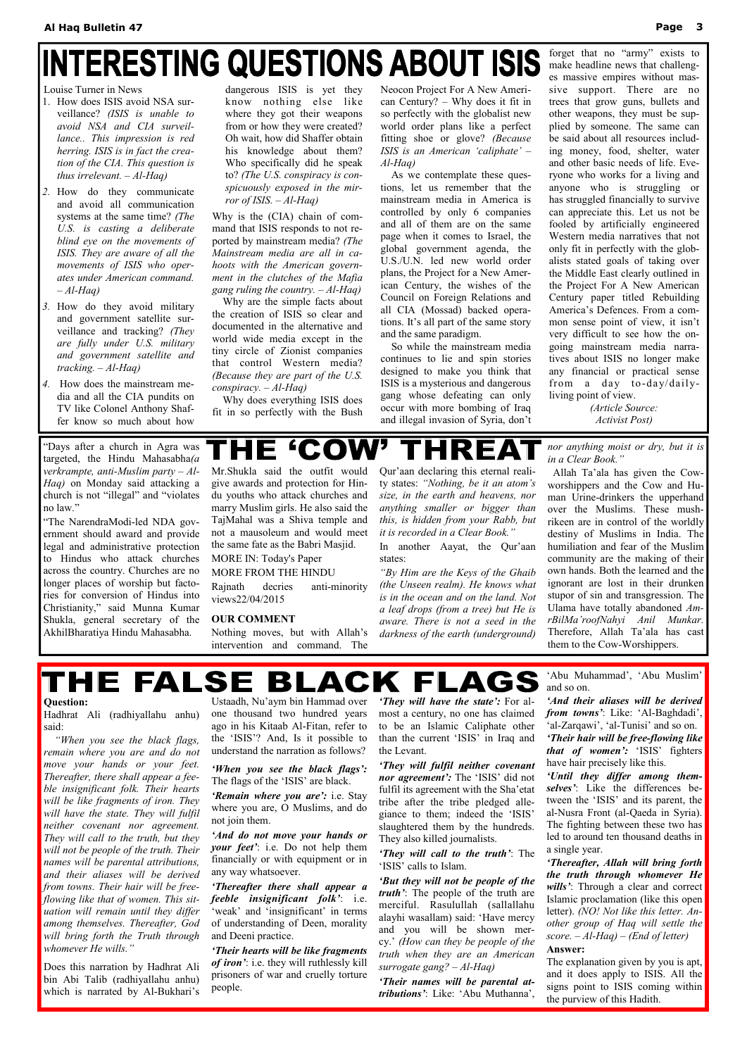# **INTERESTING QUESTIONS ABOUT ISIS**

Louise Turner in News

- 1. How does ISIS avoid NSA surveillance? *(ISIS is unable to avoid NSA and CIA surveillance.. This impression is red herring. ISIS is in fact the creation of the CIA. This question is thus irrelevant. – Al-Haq)*
- *2.* How do they communicate and avoid all communication systems at the same time? *(The U.S. is casting a deliberate blind eye on the movements of ISIS. They are aware of all the movements of ISIS who operates under American command. – Al-Haq)*
- *3.* How do they avoid military and government satellite surveillance and tracking? *(They are fully under U.S. military and government satellite and tracking. – Al-Haq)*
- *4.* How does the mainstream media and all the CIA pundits on TV like Colonel Anthony Shaffer know so much about how

dangerous ISIS is yet they know nothing else like where they got their weapons from or how they were created? Oh wait, how did Shaffer obtain his knowledge about them? Who specifically did he speak to? *(The U.S. conspiracy is conspicuously exposed in the mirror of ISIS. – Al-Haq)* 

Why is the (CIA) chain of command that ISIS responds to not reported by mainstream media? *(The Mainstream media are all in cahoots with the American government in the clutches of the Mafia gang ruling the country. – Al-Haq)*

 Why are the simple facts about the creation of ISIS so clear and documented in the alternative and world wide media except in the tiny circle of Zionist companies that control Western media? *(Because they are part of the U.S. conspiracy. – Al-Haq)*

 Why does everything ISIS does fit in so perfectly with the Bush Neocon Project For A New American Century? – Why does it fit in so perfectly with the globalist new world order plans like a perfect fitting shoe or glove? *(Because ISIS is an American 'caliphate' – Al-Haq)*

 As we contemplate these questions, let us remember that the mainstream media in America is controlled by only 6 companies and all of them are on the same page when it comes to Israel, the global government agenda, the U.S./U.N. led new world order plans, the Project for a New American Century, the wishes of the Council on Foreign Relations and all CIA (Mossad) backed operations. It's all part of the same story and the same paradigm.

 So while the mainstream media continues to lie and spin stories designed to make you think that ISIS is a mysterious and dangerous gang whose defeating can only occur with more bombing of Iraq and illegal invasion of Syria, don't

forget that no "army" exists to make headline news that challenges massive empires without massive support. There are no trees that grow guns, bullets and other weapons, they must be supplied by someone. The same can be said about all resources including money, food, shelter, water and other basic needs of life. Everyone who works for a living and anyone who is struggling or has struggled financially to survive can appreciate this. Let us not be fooled by artificially engineered Western media narratives that not only fit in perfectly with the globalists stated goals of taking over the Middle East clearly outlined in the Project For A New American Century paper titled Rebuilding America's Defences. From a common sense point of view, it isn't very difficult to see how the ongoing mainstream media narratives about ISIS no longer make any financial or practical sense from a day to-day/dailyliving point of view.

> *(Article Source: Activist Post)*

#### **Question:**

Hadhrat Ali (radhiyallahu anhu) said:

 *"When you see the black flags, remain where you are and do not move your hands or your feet. Thereafter, there shall appear a feeble insignificant folk. Their hearts will be like fragments of iron. They will have the state. They will fulfil neither covenant nor agreement. They will call to the truth, but they will not be people of the truth. Their names will be parental attributions, and their aliases will be derived from towns. Their hair will be freeflowing like that of women. This situation will remain until they differ among themselves. Thereafter, God will bring forth the Truth through whomever He wills."* 

Does this narration by Hadhrat Ali bin Abi Talib (radhiyallahu anhu) which is narrated by Al-Bukhari's

Ustaadh, Nu'aym bin Hammad over one thousand two hundred years ago in his Kitaab Al-Fitan, refer to the 'ISIS'? And, Is it possible to understand the narration as follows?

*'When you see the black flags':* The flags of the 'ISIS' are black.

*'Remain where you are':* i.e. Stay

where you are, O Muslims, and do not join them.

*'And do not move your hands or your feet'*: i.e. Do not help them financially or with equipment or in any way whatsoever.

*'Thereafter there shall appear a feeble insignificant folk'*: i.e. 'weak' and 'insignificant' in terms of understanding of Deen, morality and Deeni practice.

*'Their hearts will be like fragments of iron'*: i.e. they will ruthlessly kill prisoners of war and cruelly torture people.

*'They will have the state':* For almost a century, no one has claimed to be an Islamic Caliphate other than the current 'ISIS' in Iraq and the Levant.

*'They will fulfil neither covenant nor agreement':* The 'ISIS' did not fulfil its agreement with the Sha'etat

tribe after the tribe pledged allegiance to them; indeed the 'ISIS' slaughtered them by the hundreds. They also killed journalists.

*'They will call to the truth'*: The 'ISIS' calls to Islam.

*'But they will not be people of the truth'*: The people of the truth are merciful. Rasulullah (sallallahu alayhi wasallam) said: 'Have mercy and you will be shown mercy.' *(How can they be people of the truth when they are an American surrogate gang? – Al-Haq)* 

*'Their names will be parental attributions'*: Like: 'Abu Muthanna',

'Abu Muhammad', 'Abu Muslim' and so on.

*'And their aliases will be derived from towns'*: Like: 'Al-Baghdadi', 'al-Zarqawi', 'al-Tunisi' and so on. *'Their hair will be free-flowing like that of women':* 'ISIS' fighters have hair precisely like this.

*'Until they differ among themselves'*: Like the differences between the 'ISIS' and its parent, the al-Nusra Front (al-Qaeda in Syria). The fighting between these two has led to around ten thousand deaths in a single year. *'Thereafter, Allah will bring forth the truth through whomever He wills'*: Through a clear and correct Islamic proclamation (like this open letter). *(NO! Not like this letter. Another group of Haq will settle the score. – Al-Haq) – (End of letter)* 

#### **Answer:**

The explanation given by you is apt, and it does apply to ISIS. All the signs point to ISIS coming within the purview of this Hadith.

"Days after a church in Agra was targeted, the Hindu Mahasabha*(a verkrampte, anti-Muslim party – Al-Haq)* on Monday said attacking a church is not "illegal" and "violates no law."

"The NarendraModi-led NDA government should award and provide legal and administrative protection to Hindus who attack churches across the country. Churches are no longer places of worship but factories for conversion of Hindus into Christianity," said Munna Kumar Shukla, general secretary of the AkhilBharatiya Hindu Mahasabha.

#### THE 'COW' THREAT

Mr.Shukla said the outfit would give awards and protection for Hindu youths who attack churches and marry Muslim girls. He also said the TajMahal was a Shiva temple and not a mausoleum and would meet the same fate as the Babri Masjid. MORE IN: Today's Paper MORE FROM THE HINDU Rajnath decries anti-minority

views22/04/2015

#### **OUR COMMENT**

Nothing moves, but with Allah's intervention and command. The

Qur'aan declaring this eternal reality states: *"Nothing, be it an atom's size, in the earth and heavens, nor anything smaller or bigger than this, is hidden from your Rabb, but it is recorded in a Clear Book."* 

In another Aayat, the Qur'aan states:

*"By Him are the Keys of the Ghaib (the Unseen realm). He knows what is in the ocean and on the land. Not a leaf drops (from a tree) but He is aware. There is not a seed in the darkness of the earth (underground)* 

*nor anything moist or dry, but it is in a Clear Book."* 

 Allah Ta'ala has given the Cowworshippers and the Cow and Human Urine-drinkers the upperhand over the Muslims. These mushrikeen are in control of the worldly destiny of Muslims in India. The humiliation and fear of the Muslim community are the making of their own hands. Both the learned and the ignorant are lost in their drunken stupor of sin and transgression. The Ulama have totally abandoned *AmrBilMa'roofNahyi Anil Munkar.*  Therefore, Allah Ta'ala has cast them to the Cow-Worshippers.

# THE FALSE BLACK FLAGS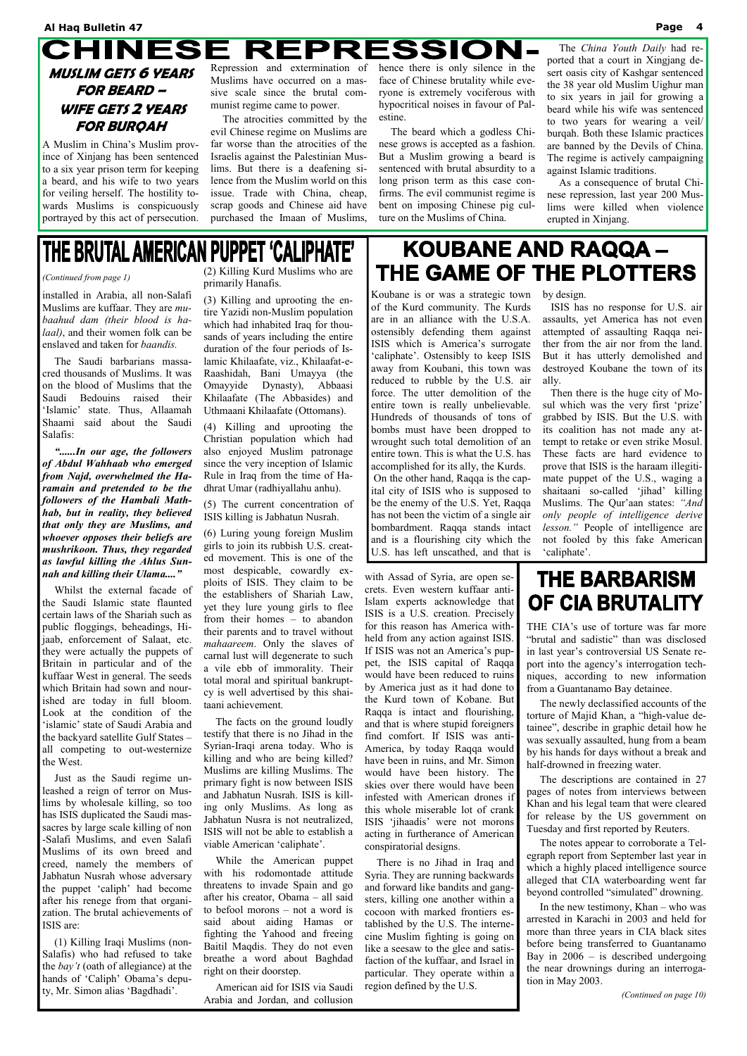### **CHINESE REPRESSION MUSLIM GETS 6 YEARS FOR BEARD – WIFE GETS 2 YEARS FOR BURQAH**

A Muslim in China's Muslim province of Xinjang has been sentenced to a six year prison term for keeping a beard, and his wife to two years for veiling herself. The hostility towards Muslims is conspicuously portrayed by this act of persecution.

Repression and extermination of Muslims have occurred on a massive scale since the brutal communist regime came to power.

 The atrocities committed by the evil Chinese regime on Muslims are far worse than the atrocities of the Israelis against the Palestinian Muslims. But there is a deafening silence from the Muslim world on this issue. Trade with China, cheap, scrap goods and Chinese aid have purchased the Imaan of Muslims,

hence there is only silence in the face of Chinese brutality while everyone is extremely vociferous with hypocritical noises in favour of Palestine.

 The beard which a godless Chinese grows is accepted as a fashion. But a Muslim growing a beard is sentenced with brutal absurdity to a long prison term as this case confirms. The evil communist regime is bent on imposing Chinese pig culture on the Muslims of China.

 The *China Youth Daily* had reported that a court in Xingjang desert oasis city of Kashgar sentenced the 38 year old Muslim Uighur man to six years in jail for growing a beard while his wife was sentenced to two years for wearing a veil/ burqah. Both these Islamic practices are banned by the Devils of China. The regime is actively campaigning against Islamic traditions.

 As a consequence of brutal Chinese repression, last year 200 Muslims were killed when violence erupted in Xinjang.

# THE BRUTAL AMERICAN PUPPET 'CALIPHATE'

installed in Arabia, all non-Salafi Muslims are kuffaar. They are *mubaahud dam (their blood is halaal)*, and their women folk can be enslaved and taken for *baandis.*

 The Saudi barbarians massacred thousands of Muslims. It was on the blood of Muslims that the Saudi Bedouins raised their 'Islamic' state. Thus, Allaamah Shaami said about the Saudi Salafis:

*"......In our age, the followers of Abdul Wahhaab who emerged from Najd, overwhelmed the Haramain and pretended to be the followers of the Hambali Mathhab, but in reality, they believed that only they are Muslims, and whoever opposes their beliefs are mushrikoon. Thus, they regarded as lawful killing the Ahlus Sunnah and killing their Ulama...."* 

 Whilst the external facade of the Saudi Islamic state flaunted certain laws of the Shariah such as public floggings, beheadings, Hijaab, enforcement of Salaat, etc. they were actually the puppets of Britain in particular and of the kuffaar West in general. The seeds which Britain had sown and nourished are today in full bloom. Look at the condition of the 'islamic' state of Saudi Arabia and the backyard satellite Gulf States – all competing to out-westernize the West.

 Just as the Saudi regime unleashed a reign of terror on Mus-

lims by wholesale killing, so too has ISIS duplicated the Saudi massacres by large scale killing of non -Salafi Muslims, and even Salafi Muslims of its own breed and creed, namely the members of Jabhatun Nusrah whose adversary the puppet 'caliph' had become after his renege from that organization. The brutal achievements of ISIS are:

 (1) Killing Iraqi Muslims (non-Salafis) who had refused to take the *bay't* (oath of allegiance) at the hands of 'Caliph' Obama's deputy, Mr. Simon alias 'Bagdhadi'.

(2) Killing Kurd Muslims who are primarily Hanafis.

(3) Killing and uprooting the entire Yazidi non-Muslim population which had inhabited Iraq for thousands of years including the entire duration of the four periods of Islamic Khilaafate, viz., Khilaafat-e-Raashidah, Bani Umayya (the Omayyide Dynasty), Abbaasi Khilaafate (The Abbasides) and Uthmaani Khilaafate (Ottomans).

(4) Killing and uprooting the Christian population which had also enjoyed Muslim patronage since the very inception of Islamic Rule in Iraq from the time of Hadhrat Umar (radhiyallahu anhu).

(5) The current concentration of ISIS killing is Jabhatun Nusrah.

(6) Luring young foreign Muslim girls to join its rubbish U.S. created movement. This is one of the most despicable, cowardly exploits of ISIS. They claim to be the establishers of Shariah Law, yet they lure young girls to flee from their homes – to abandon their parents and to travel without *mahaareem*. Only the slaves of carnal lust will degenerate to such a vile ebb of immorality. Their total moral and spiritual bankruptcy is well advertised by this shaitaani achievement.

 The facts on the ground loudly testify that there is no Jihad in the Syrian-Iraqi arena today. Who is killing and who are being killed? Muslims are killing Muslims. The primary fight is now between ISIS and Jabhatun Nusrah. ISIS is killing only Muslims. As long as Jabhatun Nusra is not neutralized, ISIS will not be able to establish a viable American 'caliphate'. While the American puppet with his rodomontade attitude threatens to invade Spain and go after his creator, Obama – all said to befool morons – not a word is said about aiding Hamas or fighting the Yahood and freeing Baitil Maqdis. They do not even breathe a word about Baghdad right on their doorstep.

## KOUBANE AND RAQQA -THE GAME OF THE PLOTTERS

 American aid for ISIS via Saudi Arabia and Jordan, and collusion

with Assad of Syria, are open secrets. Even western kuffaar anti-Islam experts acknowledge that ISIS is a U.S. creation. Precisely for this reason has America withheld from any action against ISIS. If ISIS was not an America's puppet, the ISIS capital of Raqqa would have been reduced to ruins by America just as it had done to the Kurd town of Kobane. But Raqqa is intact and flourishing, and that is where stupid foreigners find comfort. If ISIS was anti-America, by today Raqqa would have been in ruins, and Mr. Simon would have been history. The skies over there would have been infested with American drones if this whole miserable lot of crank ISIS 'jihaadis' were not morons acting in furtherance of American conspiratorial designs. There is no Jihad in Iraq and Syria. They are running backwards and forward like bandits and gangsters, killing one another within a cocoon with marked frontiers established by the U.S. The internecine Muslim fighting is going on like a seesaw to the glee and satisfaction of the kuffaar, and Israel in particular. They operate within a region defined by the U.S.

#### *(Continued from page 1)*

Koubane is or was a strategic town of the Kurd community. The Kurds are in an alliance with the U.S.A. ostensibly defending them against ISIS which is America's surrogate 'caliphate'. Ostensibly to keep ISIS away from Koubani, this town was reduced to rubble by the U.S. air force. The utter demolition of the entire town is really unbelievable. Hundreds of thousands of tons of bombs must have been dropped to wrought such total demolition of an entire town. This is what the U.S. has accomplished for its ally, the Kurds. On the other hand, Raqqa is the capital city of ISIS who is supposed to be the enemy of the U.S. Yet, Raqqa has not been the victim of a single air bombardment. Raqqa stands intact and is a flourishing city which the U.S. has left unscathed, and that is

by design.

 ISIS has no response for U.S. air assaults, yet America has not even attempted of assaulting Raqqa neither from the air nor from the land. But it has utterly demolished and destroyed Koubane the town of its ally.

 Then there is the huge city of Mosul which was the very first 'prize' grabbed by ISIS. But the U.S. with its coalition has not made any attempt to retake or even strike Mosul. These facts are hard evidence to prove that ISIS is the haraam illegitimate puppet of the U.S., waging a shaitaani so-called 'jihad' killing Muslims. The Qur'aan states: *"And only people of intelligence derive lesson."* People of intelligence are not fooled by this fake American 'caliphate'.

### **THE BARBARISM** OF CIA BRUTALITY

THE CIA's use of torture was far more "brutal and sadistic" than was disclosed in last year's controversial US Senate report into the agency's interrogation techniques, according to new information from a Guantanamo Bay detainee.

The newly declassified accounts of the torture of Majid Khan, a "high-value detainee", describe in graphic detail how he was sexually assaulted, hung from a beam by his hands for days without a break and half-drowned in freezing water.

The descriptions are contained in 27 pages of notes from interviews between Khan and his legal team that were cleared for release by the US government on Tuesday and first reported by Reuters.

The notes appear to corroborate a Telegraph report from September last year in which a highly placed intelligence source alleged that CIA waterboarding went far beyond controlled "simulated" drowning. In the new testimony, Khan – who was arrested in Karachi in 2003 and held for more than three years in CIA black sites before being transferred to Guantanamo Bay in  $2006 -$  is described undergoing the near drownings during an interrogation in May 2003.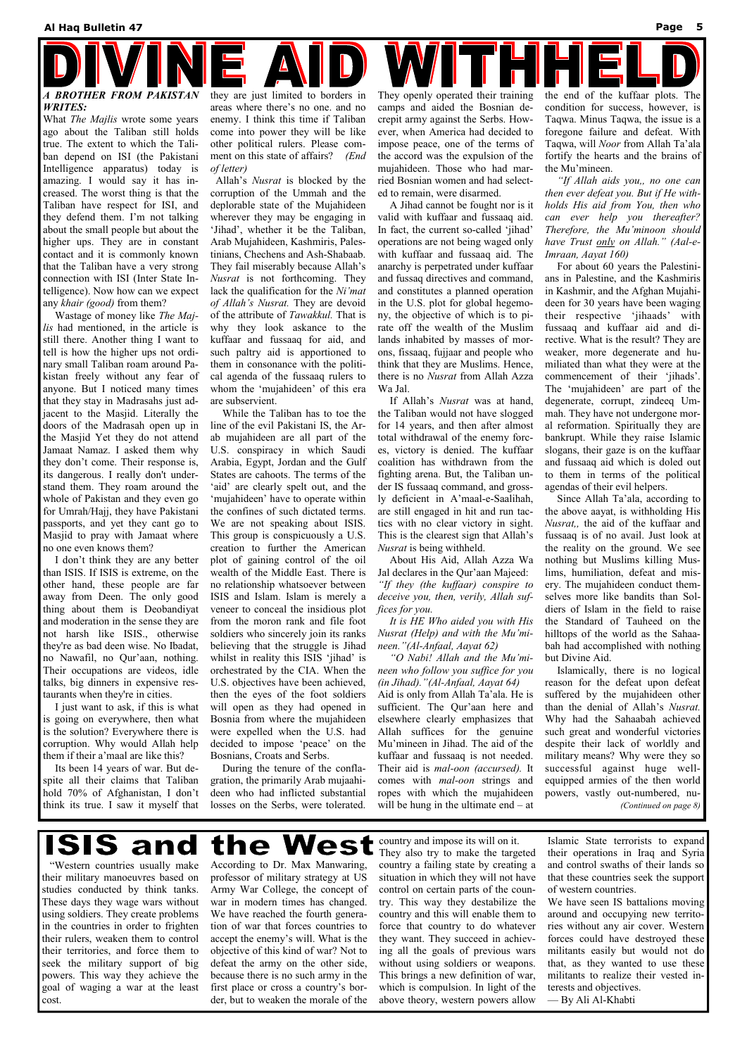*A BROTHER FROM PAKISTAN WRITES:* 

VINE

What *The Majlis* wrote some years ago about the Taliban still holds true. The extent to which the Taliban depend on ISI (the Pakistani Intelligence apparatus) today is amazing. I would say it has increased. The worst thing is that the Taliban have respect for ISI, and they defend them. I'm not talking about the small people but about the higher ups. They are in constant contact and it is commonly known that the Taliban have a very strong connection with ISI (Inter State Intelligence). Now how can we expect any *khair (good)* from them?

 Wastage of money like *The Majlis* had mentioned, in the article is still there. Another thing I want to tell is how the higher ups not ordinary small Taliban roam around Pakistan freely without any fear of anyone. But I noticed many times that they stay in Madrasahs just adjacent to the Masjid. Literally the doors of the Madrasah open up in the Masjid Yet they do not attend Jamaat Namaz. I asked them why they don't come. Their response is, its dangerous. I really don't understand them. They roam around the whole of Pakistan and they even go for Umrah/Hajj, they have Pakistani passports, and yet they cant go to Masjid to pray with Jamaat where no one even knows them?

 I don't think they are any better than ISIS. If ISIS is extreme, on the other hand, these people are far away from Deen. The only good thing about them is Deobandiyat and moderation in the sense they are not harsh like ISIS., otherwise they're as bad deen wise. No Ibadat, no Nawafil, no Qur'aan, nothing. Their occupations are videos, idle talks, big dinners in expensive restaurants when they're in cities.

 I just want to ask, if this is what is going on everywhere, then what is the solution? Everywhere there is corruption. Why would Allah help them if their a'maal are like this?

they are just limited to borders in areas where there's no one. and no enemy. I think this time if Taliban come into power they will be like other political rulers. Please comment on this state of affairs? *(End of letter)*

 $\Delta$ 

 Allah's *Nusrat* is blocked by the corruption of the Ummah and the deplorable state of the Mujahideen wherever they may be engaging in 'Jihad', whether it be the Taliban, Arab Mujahideen, Kashmiris, Palestinians, Chechens and Ash-Shabaab. They fail miserably because Allah's *Nusrat* is not forthcoming. They lack the qualification for the *Ni'mat of Allah's Nusrat.* They are devoid of the attribute of *Tawakkul.* That is why they look askance to the kuffaar and fussaaq for aid, and such paltry aid is apportioned to them in consonance with the political agenda of the fussaaq rulers to whom the 'mujahideen' of this era are subservient.

 While the Taliban has to toe the line of the evil Pakistani IS, the Arab mujahideen are all part of the U.S. conspiracy in which Saudi Arabia, Egypt, Jordan and the Gulf States are cahoots. The terms of the 'aid' are clearly spelt out, and the 'mujahideen' have to operate within the confines of such dictated terms. We are not speaking about ISIS. This group is conspicuously a U.S. creation to further the American plot of gaining control of the oil wealth of the Middle East. There is no relationship whatsoever between ISIS and Islam. Islam is merely a veneer to conceal the insidious plot from the moron rank and file foot soldiers who sincerely join its ranks believing that the struggle is Jihad whilst in reality this ISIS 'jihad' is orchestrated by the CIA. When the U.S. objectives have been achieved, then the eyes of the foot soldiers will open as they had opened in Bosnia from where the mujahideen were expelled when the U.S. had decided to impose 'peace' on the Bosnians, Croats and Serbs.

They openly operated their training camps and aided the Bosnian decrepit army against the Serbs. However, when America had decided to impose peace, one of the terms of the accord was the expulsion of the mujahideen. Those who had married Bosnian women and had selected to remain, were disarmed.

 A Jihad cannot be fought nor is it valid with kuffaar and fussaaq aid. In fact, the current so-called 'jihad' operations are not being waged only with kuffaar and fussaaq aid. The anarchy is perpetrated under kuffaar and fussaq directives and command, and constitutes a planned operation in the U.S. plot for global hegemony, the objective of which is to pirate off the wealth of the Muslim lands inhabited by masses of morons, fissaaq, fujjaar and people who think that they are Muslims. Hence, there is no *Nusrat* from Allah Azza Wa Jal.

 Its been 14 years of war. But despite all their claims that Taliban hold 70% of Afghanistan, I don't think its true. I saw it myself that losses on the Serbs, were tolerated. During the tenure of the conflagration, the primarily Arab mujaahideen who had inflicted substantial Their aid is *mal-oon (accursed).* It comes with *mal-oon* strings and ropes with which the mujahideen will be hung in the ultimate end – at powers, vastly out-numbered, nu- *(Continued on page 8)* 

 If Allah's *Nusrat* was at hand, the Taliban would not have slogged for 14 years, and then after almost total withdrawal of the enemy forces, victory is denied. The kuffaar coalition has withdrawn from the fighting arena. But, the Taliban under IS fussaaq command, and grossly deficient in A'maal-e-Saalihah, are still engaged in hit and run tactics with no clear victory in sight. This is the clearest sign that Allah's *Nusrat* is being withheld.

 About His Aid, Allah Azza Wa Jal declares in the Qur'aan Majeed: *"If they (the kuffaar) conspire to deceive you, then, verily, Allah suffices for you.* 

 *It is HE Who aided you with His Nusrat (Help) and with the Mu'mineen."(Al-Anfaal, Aayat 62)* 

 *"O Nabi! Allah and the Mu'mineen who follow you suffice for you (in Jihad)."(Al-Anfaal, Aayat 64)*  Aid is only from Allah Ta'ala. He is sufficient. The Qur'aan here and elsewhere clearly emphasizes that Allah suffices for the genuine Mu'mineen in Jihad. The aid of the kuffaar and fussaaq is not needed.

the end of the kuffaar plots. The condition for success, however, is Taqwa. Minus Taqwa, the issue is a foregone failure and defeat. With Taqwa, will *Noor* from Allah Ta'ala fortify the hearts and the brains of the Mu'mineen.

THHEI

 *"If Allah aids you,, no one can then ever defeat you. But if He withholds His aid from You, then who can ever help you thereafter? Therefore, the Mu'minoon should have Trust only on Allah." (Aal-e-Imraan, Aayat 160)* 

 For about 60 years the Palestinians in Palestine, and the Kashmiris in Kashmir, and the Afghan Mujahideen for 30 years have been waging their respective 'jihaads' with fussaaq and kuffaar aid and directive. What is the result? They are weaker, more degenerate and humiliated than what they were at the commencement of their 'jihads'. The 'mujahideen' are part of the degenerate, corrupt, zindeeq Ummah. They have not undergone moral reformation. Spiritually they are bankrupt. While they raise Islamic slogans, their gaze is on the kuffaar and fussaaq aid which is doled out to them in terms of the political agendas of their evil helpers.

 Since Allah Ta'ala, according to the above aayat, is withholding His *Nusrat,,* the aid of the kuffaar and fussaaq is of no avail. Just look at the reality on the ground. We see nothing but Muslims killing Muslims, humiliation, defeat and misery. The mujahideen conduct themselves more like bandits than Soldiers of Islam in the field to raise the Standard of Tauheed on the hilltops of the world as the Sahaabah had accomplished with nothing but Divine Aid.

 Islamically, there is no logical reason for the defeat upon defeat suffered by the mujahideen other than the denial of Allah's *Nusrat.*  Why had the Sahaabah achieved such great and wonderful victories despite their lack of worldly and military means? Why were they so successful against huge wellequipped armies of the then world

### **ISIS and** the West

 "Western countries usually make their military manoeuvres based on studies conducted by think tanks. These days they wage wars without using soldiers. They create problems in the countries in order to frighten their rulers, weaken them to control their territories, and force them to seek the military support of big powers. This way they achieve the goal of waging a war at the least cost.

According to Dr. Max Manwaring, professor of military strategy at US Army War College, the concept of war in modern times has changed. We have reached the fourth generation of war that forces countries to accept the enemy's will. What is the objective of this kind of war? Not to defeat the army on the other side, because there is no such army in the first place or cross a country's border, but to weaken the morale of the country and impose its will on it. They also try to make the targeted country a failing state by creating a situation in which they will not have control on certain parts of the country. This way they destabilize the country and this will enable them to force that country to do whatever they want. They succeed in achieving all the goals of previous wars without using soldiers or weapons. This brings a new definition of war, which is compulsion. In light of the above theory, western powers allow

Islamic State terrorists to expand their operations in Iraq and Syria and control swaths of their lands so that these countries seek the support of western countries.

We have seen IS battalions moving around and occupying new territories without any air cover. Western forces could have destroyed these militants easily but would not do that, as they wanted to use these militants to realize their vested interests and objectives.

— By Ali Al-Khabti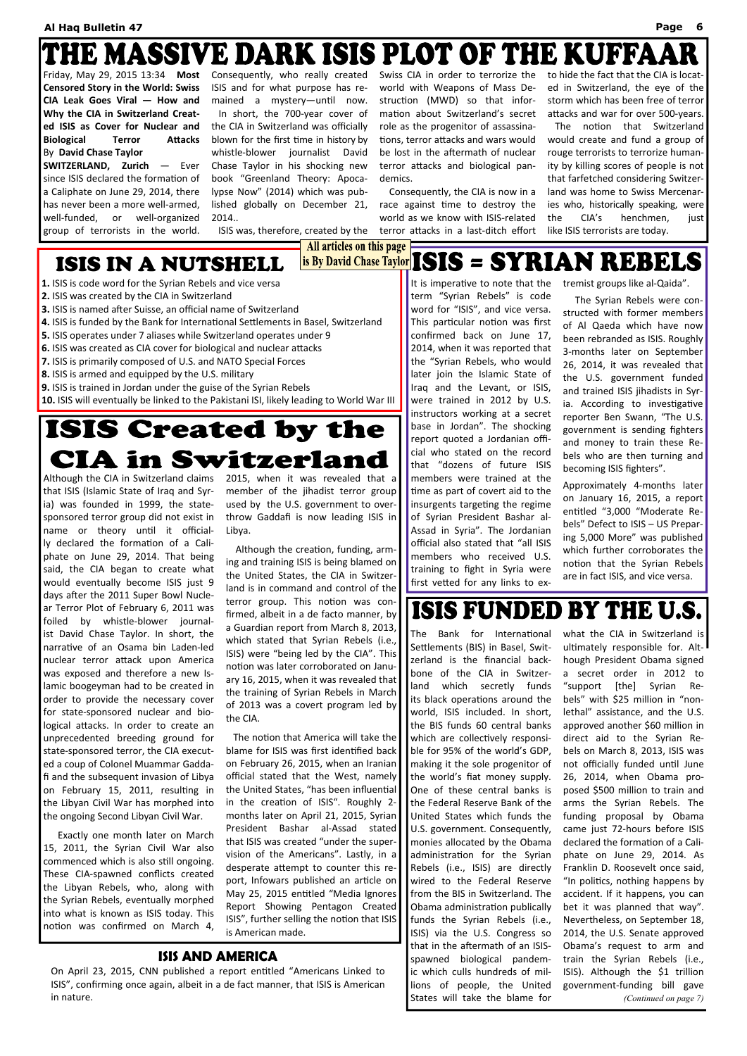#### Al Haq Bulletin 47

# THE MASSIVE DARK ISIS PLOT OF THE KUFFA

All articles on this page

**Censored Story in the World: Swiss** CIA Leak Goes Viral - How and Why the CIA in Switzerland Created ISIS as Cover for Nuclear and **Biological Terror Attacks** By David Chase Taylor

SWITZERLAND, Zurich - Ever since ISIS declared the formation of a Caliphate on June 29, 2014, there has never been a more well-armed, well-funded, or well-organized group of terrorists in the world.

Friday, May 29, 2015 13:34 Most Consequently, who really created ISIS and for what purpose has remained a mystery-until now. In short, the 700-year cover of the CIA in Switzerland was officially blown for the first time in history by whistle-blower journalist David Chase Taylor in his shocking new book "Greenland Theory: Apocalypse Now" (2014) which was published globally on December 21, 2014..

ISIS was, therefore, created by the

Swiss CIA in order to terrorize the world with Weapons of Mass Destruction (MWD) so that information about Switzerland's secret role as the progenitor of assassinations, terror attacks and wars would be lost in the aftermath of nuclear terror attacks and biological pandemics.

Consequently, the CIA is now in a race against time to destroy the world as we know with ISIS-related terror attacks in a last-ditch effort to hide the fact that the CIA is located in Switzerland, the eye of the storm which has been free of terror attacks and war for over 500-years.

The notion that Switzerland would create and fund a group of rouge terrorists to terrorize humanity by killing scores of people is not that farfetched considering Switzerland was home to Swiss Mercenaries who, historically speaking, were the CIA's henchmen, just | like ISIS terrorists are today.

### ISIS IN A NUTSHELL

- 1. ISIS is code word for the Syrian Rebels and vice versa
- 2. ISIS was created by the CIA in Switzerland
- 3. ISIS is named after Suisse, an official name of Switzerland
- 4. ISIS is funded by the Bank for International Settlements in Basel, Switzerland
- 5. ISIS operates under 7 aliases while Switzerland operates under 9
- 6. ISIS was created as CIA cover for biological and nuclear attacks
- 7. ISIS is primarily composed of U.S. and NATO Special Forces
- 8. ISIS is armed and equipped by the U.S. military
- 9. ISIS is trained in Jordan under the guise of the Syrian Rebels
- 10. ISIS will eventually be linked to the Pakistani ISI, likely leading to World War III

## **ISIS Created by the CIA in Switzerland**

Although the CIA in Switzerland claims that ISIS (Islamic State of Iraq and Syria) was founded in 1999, the statesponsored terror group did not exist in name or theory until it officially declared the formation of a Caliphate on June 29, 2014. That being said, the CIA began to create what would eventually become ISIS just 9 days after the 2011 Super Bowl Nuclear Terror Plot of February 6, 2011 was foiled by whistle-blower journalist David Chase Taylor. In short, the narrative of an Osama bin Laden-led nuclear terror attack upon America was exposed and therefore a new Islamic boogeyman had to be created in order to provide the necessary cover for state-sponsored nuclear and biological attacks. In order to create an unprecedented breeding ground for state-sponsored terror, the CIA executed a coup of Colonel Muammar Gaddafi and the subsequent invasion of Libya on February 15, 2011, resulting in

2015, when it was revealed that a member of the jihadist terror group used by the U.S. government to overthrow Gaddafi is now leading ISIS in Libya.

Although the creation, funding, arming and training ISIS is being blamed on the United States, the CIA in Switzerland is in command and control of the terror group. This notion was confirmed, albeit in a de facto manner, by a Guardian report from March 8, 2013, which stated that Syrian Rebels (i.e., ISIS) were "being led by the CIA". This notion was later corroborated on January 16, 2015, when it was revealed that the training of Syrian Rebels in March of 2013 was a covert program led by the CIA.

The notion that America will take the blame for ISIS was first identified back on February 26, 2015, when an Iranian official stated that the West, namely the United States, "has been influential in the creation of ISIS". Roughly 2months later on April 21, 2015, Syrian President Bashar al-Assad stated that ISIS was created "under the supervision of the Americans". Lastly, in a desperate attempt to counter this report, Infowars published an article on May 25, 2015 entitled "Media Ignores Report Showing Pentagon Created ISIS", further selling the notion that ISIS is American made.

It is imperative to note that the tremist groups like al-Qaida". term "Syrian Rebels" is code word for "ISIS", and vice versa. This particular notion was first confirmed back on June 17, 2014, when it was reported that the "Syrian Rebels, who would later join the Islamic State of Iraq and the Levant, or ISIS, were trained in 2012 by U.S. instructors working at a secret base in Jordan". The shocking report quoted a Jordanian official who stated on the record that "dozens of future ISIS members were trained at the time as part of covert aid to the insurgents targeting the regime of Syrian President Bashar al-Assad in Syria". The Jordanian official also stated that "all ISIS members who received U.S. training to fight in Syria were

first vetted for any links to ex-

 $s$  By David Chase Taylor  $|{\bf ISS} = {\bf SYRIAN}$  REBELS

The Syrian Rebels were constructed with former members of Al Qaeda which have now been rebranded as ISIS. Roughly 3-months later on September 26, 2014, it was revealed that the U.S. government funded and trained ISIS jihadists in Syria. According to investigative reporter Ben Swann, "The U.S. government is sending fighters and money to train these Rebels who are then turning and becoming ISIS fighters".

Approximately 4-months later on January 16, 2015, a report entitled "3,000 "Moderate Rebels" Defect to ISIS - US Preparing 5,000 More" was published which further corroborates the notion that the Syrian Rebels are in fact ISIS, and vice versa.

#### BY THE U.S. **ISIS FUNDED**

The Bank for International Settlements (BIS) in Basel, Switzerland is the financial backbone of the CIA in Switzerland which secretly funds its black operations around the world, ISIS included. In short, the BIS funds 60 central banks which are collectively responsible for 95% of the world's GDP, making it the sole progenitor of the world's fiat money supply. One of these central banks is the Federal Reserve Bank of the United States which funds the U.S. government. Consequently, monies allocated by the Obama administration for the Syrian Rebels (i.e., ISIS) are directly wired to the Federal Reserve from the BIS in Switzerland. The Obama administration publically funds the Syrian Rebels (i.e., ISIS) via the U.S. Congress so that in the aftermath of an ISISspawned biological pandemic which culls hundreds of millions of people, the United States will take the blame for

what the CIA in Switzerland is ultimately responsible for. Although President Obama signed a secret order in 2012 to "support [the] Syrian Rebels" with \$25 million in "nonlethal" assistance, and the U.S. approved another \$60 million in direct aid to the Syrian Rebels on March 8, 2013, ISIS was not officially funded until June 26, 2014, when Obama proposed \$500 million to train and arms the Syrian Rebels. The funding proposal by Obama came just 72-hours before ISIS declared the formation of a Caliphate on June 29, 2014. As Franklin D. Roosevelt once said, "In politics, nothing happens by accident. If it happens, you can bet it was planned that way". Nevertheless, on September 18, 2014, the U.S. Senate approved Obama's request to arm and train the Syrian Rebels (i.e., ISIS). Although the \$1 trillion government-funding bill gave (Continued on page 7)

the Libyan Civil War has morphed into the ongoing Second Libyan Civil War.

Exactly one month later on March 15, 2011, the Syrian Civil War also commenced which is also still ongoing. These CIA-spawned conflicts created the Libyan Rebels, who, along with the Syrian Rebels, eventually morphed into what is known as ISIS today. This notion was confirmed on March 4,

#### **ISIS AND AMERICA**

On April 23, 2015, CNN published a report entitled "Americans Linked to ISIS", confirming once again, albeit in a de fact manner, that ISIS is American in nature.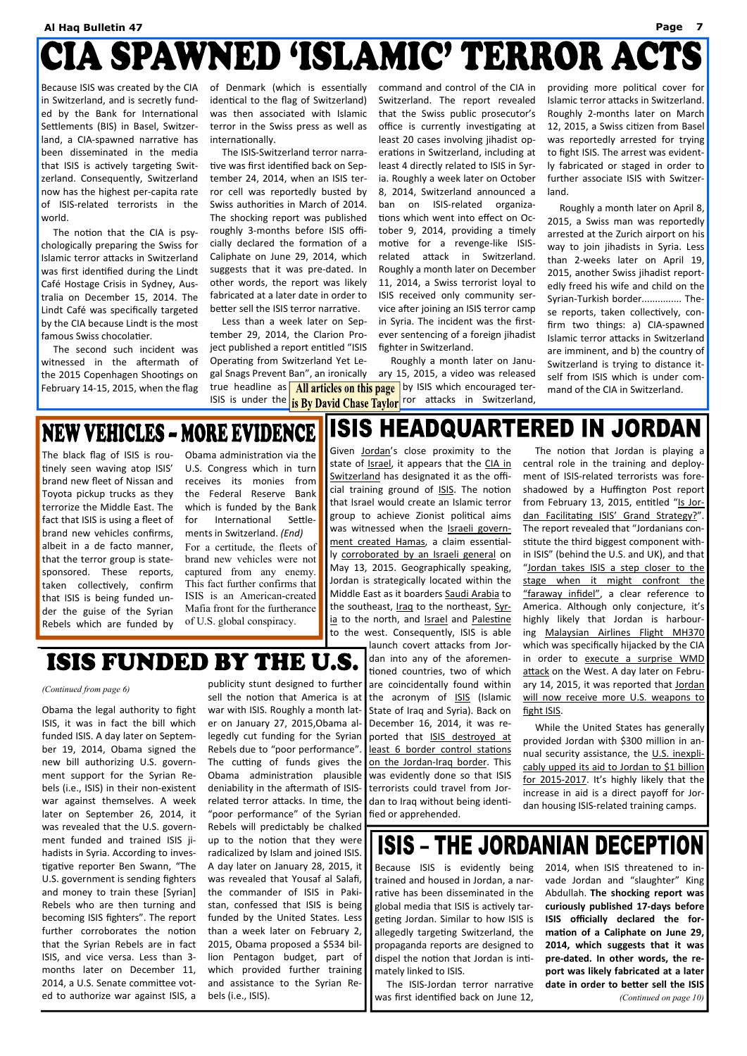CIA SPAWNED 'ISLAMIC' TERROR ACTS

Because ISIS was created by the CIA in Switzerland, and is secretly funded by the Bank for International Settlements (BIS) in Basel, Switzerland, a CIA-spawned narrative has been disseminated in the media that ISIS is actively targeting Switzerland. Consequently, Switzerland now has the highest per-capita rate of ISIS-related terrorists in the world.

The notion that the CIA is psychologically preparing the Swiss for Islamic terror attacks in Switzerland was first identified during the Lindt Café Hostage Crisis in Sydney, Australia on December 15, 2014. The Lindt Café was specifically targeted by the CIA because Lindt is the most famous Swiss chocolatier.

The second such incident was witnessed in the aftermath of the 2015 Copenhagen Shootings on February 14-15, 2015, when the flag of Denmark (which is essentially identical to the flag of Switzerland) was then associated with Islamic terror in the Swiss press as well as internationally.

The ISIS-Switzerland terror narrative was first identified back on September 24, 2014, when an ISIS terror cell was reportedly busted by Swiss authorities in March of 2014. The shocking report was published roughly 3-months before ISIS officially declared the formation of a Caliphate on June 29, 2014, which suggests that it was pre-dated. In other words, the report was likely fabricated at a later date in order to better sell the ISIS terror narrative.

Less than a week later on September 29, 2014, the Clarion Project published a report entitled "ISIS Operating from Switzerland Yet Legal Snags Prevent Ban", an ironically true headline as **All articles on this page** ISIS is under the  $\frac{1}{18}$  By David Chase Taylor  $\left| \frac{1}{10} \right|$  ror attacks in Switzerland,

command and control of the CIA in Switzerland. The report revealed that the Swiss public prosecutor's office is currently investigating at least 20 cases involving jihadist operations in Switzerland, including at least 4 directly related to ISIS in Syria. Roughly a week later on October 8, 2014, Switzerland announced a ban on ISIS-related organizations which went into effect on October 9, 2014, providing a timely motive for a revenge-like ISISrelated attack in Switzerland. Roughly a month later on December 11, 2014, a Swiss terrorist loyal to ISIS received only community service after joining an ISIS terror camp in Syria. The incident was the firstever sentencing of a foreign jihadist fighter in Switzerland.

Roughly a month later on January 15, 2015, a video was released by ISIS which encouraged ter-

providing more political cover for Islamic terror attacks in Switzerland. Roughly 2-months later on March 12, 2015, a Swiss citizen from Basel was reportedly arrested for trying to fight ISIS. The arrest was evidently fabricated or staged in order to further associate ISIS with Switzerland.

Page 7

Roughly a month later on April 8, 2015, a Swiss man was reportedly arrested at the Zurich airport on his way to join jihadists in Syria. Less than 2-weeks later on April 19, 2015, another Swiss jihadist reportedly freed his wife and child on the Syrian-Turkish border................ These reports, taken collectively, confirm two things: a) CIA-spawned Islamic terror attacks in Switzerland are imminent, and b) the country of Switzerland is trying to distance itself from ISIS which is under command of the CIA in Switzerland.

## **NEW VEHICLES - MORE EVIDENCE**

The black flag of ISIS is routinely seen waving atop ISIS' brand new fleet of Nissan and Toyota pickup trucks as they terrorize the Middle East. The fact that ISIS is using a fleet of brand new vehicles confirms, albeit in a de facto manner, that the terror group is statesponsored. These reports, taken collectively, confirm that ISIS is being funded under the guise of the Syrian Rebels which are funded by

Obama administration via the U.S. Congress which in turn receives its monies from the Federal Reserve Bank which is funded by the Bank International Settlefor ments in Switzerland. (End) For a certitude, the fleets of brand new vehicles were not captured from any enemy. This fact further confirms that ISIS is an American-created Mafia front for the furtherance of U.S. global conspiracy.

# **ISIS HEADQUARTERED IN JORDAN**

Given Jordan's close proximity to the state of Israel, it appears that the CIA in Switzerland has designated it as the official training ground of ISIS. The notion that Israel would create an Islamic terror group to achieve Zionist political aims was witnessed when the Israeli government created Hamas, a claim essentially corroborated by an Israeli general on May 13, 2015. Geographically speaking, Jordan is strategically located within the Middle East as it boarders Saudi Arabia to the southeast, Iraq to the northeast, Syria to the north, and Israel and Palestine to the west. Consequently, ISIS is able

launch covert attacks from Jordan into any of the aforementioned countries, two of which are coincidentally found within the acronym of **ISIS** (Islamic State of Iraq and Syria). Back on December 16, 2014, it was reported that **ISIS** destroyed at

least 6 border control stations

on the Jordan-Iraq border. This

was evidently done so that ISIS

terrorists could travel from Jor-

The notion that Jordan is playing a central role in the training and deployment of ISIS-related terrorists was foreshadowed by a Huffington Post report from February 13, 2015, entitled "Is Jordan Facilitating ISIS' Grand Strategy?" The report revealed that "Jordanians constitute the third biggest component within ISIS" (behind the U.S. and UK), and that "Jordan takes ISIS a step closer to the stage when it might confront the "faraway infidel", a clear reference to America. Although only conjecture, it's highly likely that Jordan is harbouring Malaysian Airlines Flight MH370 which was specifically hijacked by the CIA in order to execute a surprise WMD attack on the West. A day later on February 14, 2015, it was reported that Jordan will now receive more U.S. weapons to fight ISIS

While the United States has generally provided Jordan with \$300 million in annual security assistance, the U.S. inexplicably upped its aid to Jordan to \$1 billion for 2015-2017. It's highly likely that the increase in aid is a direct payoff for Jor-

## ISIS FUNDED BY THE U.S.

#### (Continued from page 6)

Obama the legal authority to fight ISIS, it was in fact the bill which funded ISIS. A day later on September 19, 2014, Obama signed the new bill authorizing U.S. government support for the Syrian Rebels (i.e., ISIS) in their non-existent war against themselves. A week later on September 26, 2014, it was revealed that the U.S. government funded and trained ISIS jihadists in Syria. According to investigative reporter Ben Swann, "The U.S. government is sending fighters and money to train these [Syrian] Rebels who are then turning and becoming ISIS fighters". The report further corroborates the notion that the Syrian Rebels are in fact ISIS, and vice versa. Less than 3months later on December 11, 2014, a U.S. Senate committee voted to authorize war against ISIS, a

publicity stunt designed to further sell the notion that America is at war with ISIS. Roughly a month later on January 27, 2015, Obama allegedly cut funding for the Syrian Rebels due to "poor performance" The cutting of funds gives the Obama administration plausible deniability in the aftermath of ISIS-

related terror attacks. In time, the dan to Iraq without being identi-"poor performance" of the Syrian fied or apprehended.

Rebels will predictably be chalked up to the notion that they were radicalized by Islam and joined ISIS. A day later on January 28, 2015, it was revealed that Yousaf al Salafi, the commander of ISIS in Pakistan, confessed that ISIS is being funded by the United States. Less than a week later on February 2 2015, Obama proposed a \$534 billion Pentagon budget, part of which provided further training and assistance to the Syrian Rebels (i.e., ISIS).

dan housing ISIS-related training camps.

## **ISIS - THE JORDANIAN DECEPTION**

Because ISIS is evidently being trained and housed in Jordan, a narrative has been disseminated in the global media that ISIS is actively targeting Jordan. Similar to how ISIS is allegedly targeting Switzerland, the propaganda reports are designed to dispel the notion that Jordan is intimately linked to ISIS.

The ISIS-Jordan terror narrative was first identified back on June 12,

2014, when ISIS threatened to invade Jordan and "slaughter" King Abdullah. The shocking report was curiously published 17-days before ISIS officially declared the formation of a Caliphate on June 29, 2014, which suggests that it was pre-dated. In other words, the report was likely fabricated at a later date in order to better sell the ISIS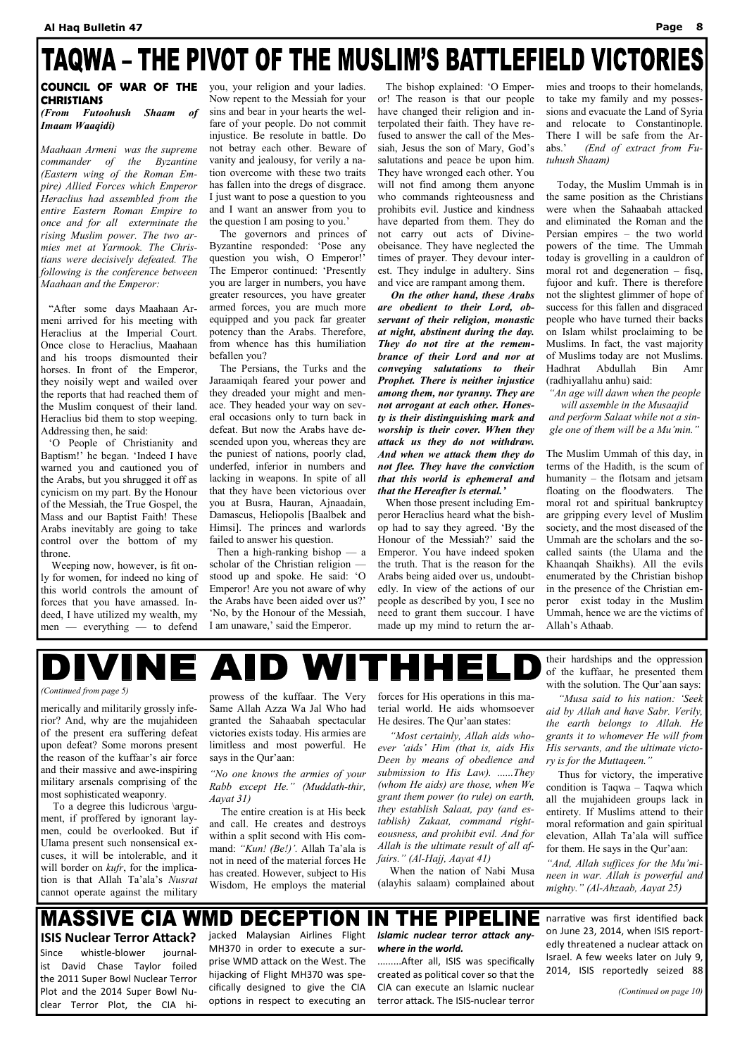# **TAQWA - THE PIVOT OF THE MUSLIM'S BATTLEFIELD VICTORIES**

merically and militarily grossly inferior? And, why are the mujahideen of the present era suffering defeat upon defeat? Some morons present the reason of the kuffaar's air force and their massive and awe-inspiring military arsenals comprising of the most sophisticated weaponry. To a degree this ludicrous \argument, if proffered by ignorant laymen, could be overlooked. But if Ulama present such nonsensical excuses, it will be intolerable, and it will border on *kufr*, for the implication is that Allah Ta'ala's *Nusrat*  cannot operate against the military

prowess of the kuffaar. The Very Same Allah Azza Wa Jal Who had granted the Sahaabah spectacular victories exists today. His armies are limitless and most powerful. He says in the Qur'aan:

*"No one knows the armies of your Rabb except He." (Muddath-thir,* 

*Aayat 31)* 

 The entire creation is at His beck and call. He creates and destroys within a split second with His command: *"Kun! (Be!)'.* Allah Ta'ala is not in need of the material forces He has created. However, subject to His Wisdom, He employs the material

forces for His operations in this material world. He aids whomsoever He desires. The Qur'aan states:

 *"Most certainly, Allah aids whoever 'aids' Him (that is, aids His Deen by means of obedience and submission to His Law). ......They (whom He aids) are those, when We grant them power (to rule) on earth, they establish Salaat, pay (and establish) Zakaat, command righteousness, and prohibit evil. And for Allah is the ultimate result of all affairs." (Al-Hajj, Aayat 41)* 

 When the nation of Nabi Musa (alayhis salaam) complained about their hardships and the oppression of the kuffaar, he presented them with the solution. The Qur'aan says:

 *"Musa said to his nation: 'Seek aid by Allah and have Sabr. Verily, the earth belongs to Allah. He grants it to whomever He will from His servants, and the ultimate victory is for the Muttaqeen."* 

 Thus for victory, the imperative condition is Taqwa – Taqwa which all the mujahideen groups lack in entirety. If Muslims attend to their moral reformation and gain spiritual elevation, Allah Ta'ala will suffice for them. He says in the Qur'aan:

*"And, Allah suffices for the Mu'mineen in war. Allah is powerful and mighty." (Al-Ahzaab, Aayat 25)*

#### **MASSIVE CIA WMD DECEPTION IN THE PIPELINE** jacked Malaysian Airlines Flight Islamic nuclear terror attack any-**ISIS Nuclear Terror Attack?** MH370 in order to execute a surwhere in the world. Since whistle-blower journalprise WMD attack on the West. The .........After all, ISIS was specifically ist David Chase Taylor foiled hijacking of Flight MH370 was specreated as political cover so that the the 2011 Super Bowl Nuclear Terror cifically designed to give the CIA CIA can execute an Islamic nuclear Plot and the 2014 Super Bowl Nuoptions in respect to executing an terror attack. The ISIS-nuclear terror clear Terror Plot, the CIA hi-

narrative was first identified back on June 23, 2014, when ISIS reportedly threatened a nuclear attack on Israel. A few weeks later on July  $9$ 2014, ISIS reportedly seized 88

#### *(Continued from page 5)*

#### **COUNCIL OF WAR OF THE CHRISTIANS**

*(From Futoohush Shaam of Imaam Waaqidi)* 

*Maahaan Armeni was the supreme commander of the Byzantine (Eastern wing of the Roman Empire) Allied Forces which Emperor Heraclius had assembled from the entire Eastern Roman Empire to once and for all exterminate the rising Muslim power. The two armies met at Yarmook. The Christians were decisively defeated. The following is the conference between Maahaan and the Emperor:* 

> Then a high-ranking bishop  $-$  a scholar of the Christian religion stood up and spoke. He said: 'O Emperor! Are you not aware of why the Arabs have been aided over us?' 'No, by the Honour of the Messiah, I am unaware,' said the Emperor.

 "After some days Maahaan Armeni arrived for his meeting with Heraclius at the Imperial Court. Once close to Heraclius, Maahaan and his troops dismounted their horses. In front of the Emperor, they noisily wept and wailed over the reports that had reached them of the Muslim conquest of their land. Heraclius bid them to stop weeping. Addressing then, he said:

 'O People of Christianity and Baptism!' he began. 'Indeed I have warned you and cautioned you of the Arabs, but you shrugged it off as cynicism on my part. By the Honour of the Messiah, the True Gospel, the Mass and our Baptist Faith! These Arabs inevitably are going to take control over the bottom of my throne.

 Weeping now, however, is fit only for women, for indeed no king of this world controls the amount of forces that you have amassed. Indeed, I have utilized my wealth, my men — everything — to defend you, your religion and your ladies. Now repent to the Messiah for your sins and bear in your hearts the welfare of your people. Do not commit injustice. Be resolute in battle. Do not betray each other. Beware of vanity and jealousy, for verily a nation overcome with these two traits has fallen into the dregs of disgrace. I just want to pose a question to you and I want an answer from you to the question I am posing to you.'

 The governors and princes of Byzantine responded: 'Pose any question you wish, O Emperor!' The Emperor continued: 'Presently you are larger in numbers, you have greater resources, you have greater armed forces, you are much more equipped and you pack far greater potency than the Arabs. Therefore, from whence has this humiliation befallen you?

 The Persians, the Turks and the Jaraamiqah feared your power and they dreaded your might and menace. They headed your way on several occasions only to turn back in defeat. But now the Arabs have descended upon you, whereas they are the puniest of nations, poorly clad, underfed, inferior in numbers and lacking in weapons. In spite of all that they have been victorious over you at Busra, Hauran, Ajnaadain, Damascus, Heliopolis [Baalbek and Himsi]. The princes and warlords failed to answer his question.

 The bishop explained: 'O Emperor! The reason is that our people have changed their religion and interpolated their faith. They have refused to answer the call of the Messiah, Jesus the son of Mary, God's salutations and peace be upon him. They have wronged each other. You will not find among them anyone who commands righteousness and prohibits evil. Justice and kindness have departed from them. They do not carry out acts of Divineobeisance. They have neglected the times of prayer. They devour interest. They indulge in adultery. Sins and vice are rampant among them.

 *On the other hand, these Arabs are obedient to their Lord, observant of their religion, monastic at night, abstinent during the day. They do not tire at the remembrance of their Lord and nor at conveying salutations to their Prophet. There is neither injustice among them, nor tyranny. They are not arrogant at each other. Honesty is their distinguishing mark and worship is their cover. When they attack us they do not withdraw. And when we attack them they do not flee. They have the conviction that this world is ephemeral and that the Hereafter is eternal.'* 

 When those present including Emperor Heraclius heard what the bishop had to say they agreed. 'By the Honour of the Messiah?' said the Emperor. You have indeed spoken the truth. That is the reason for the Arabs being aided over us, undoubtedly. In view of the actions of our people as described by you, I see no need to grant them succour. I have made up my mind to return the ar-

mies and troops to their homelands, to take my family and my possessions and evacuate the Land of Syria and relocate to Constantinople. There I will be safe from the Arabs.' *(End of extract from Futuhush Shaam)* 

 Today, the Muslim Ummah is in the same position as the Christians were when the Sahaabah attacked and eliminated the Roman and the Persian empires – the two world powers of the time. The Ummah today is grovelling in a cauldron of moral rot and degeneration – fisq, fujoor and kufr. There is therefore not the slightest glimmer of hope of success for this fallen and disgraced people who have turned their backs on Islam whilst proclaiming to be Muslims. In fact, the vast majority of Muslims today are not Muslims. Hadhrat Abdullah Bin Amr (radhiyallahu anhu) said:

*"An age will dawn when the people will assemble in the Musaajid and perform Salaat while not a single one of them will be a Mu'min."* 

The Muslim Ummah of this day, in terms of the Hadith, is the scum of humanity – the flotsam and jetsam floating on the floodwaters. The moral rot and spiritual bankruptcy are gripping every level of Muslim society, and the most diseased of the Ummah are the scholars and the socalled saints (the Ulama and the Khaanqah Shaikhs). All the evils enumerated by the Christian bishop in the presence of the Christian emperor exist today in the Muslim Ummah, hence we are the victims of Allah's Athaab.

#### DIVINE AII гнне D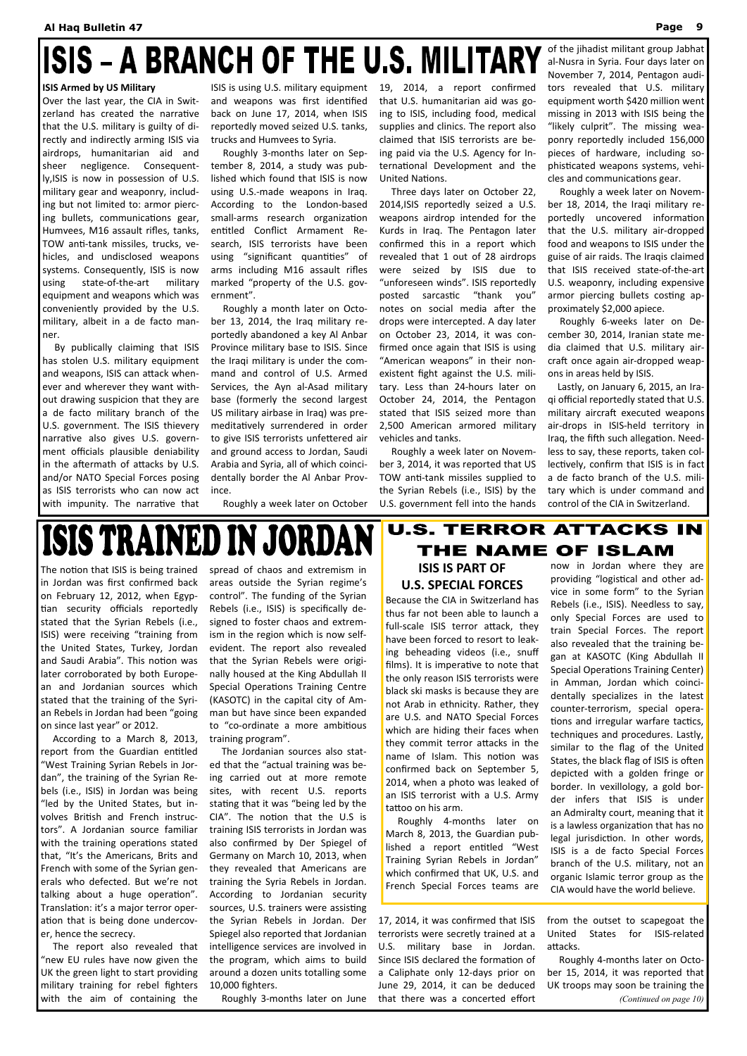# **ISIS - A BRANCH OF THE U.S. MILITARY**

#### **ISIS Armed by US Military**

Over the last year, the CIA in Switzerland has created the narrative that the U.S. military is guilty of directly and indirectly arming ISIS via airdrops, humanitarian aid and sheer negligence. Consequently, ISIS is now in possession of U.S. military gear and weaponry, including but not limited to: armor piercing bullets, communications gear, Humvees, M16 assault rifles, tanks, TOW anti-tank missiles, trucks, vehicles, and undisclosed weapons systems. Consequently, ISIS is now state-of-the-art military using equipment and weapons which was conveniently provided by the U.S. military, albeit in a de facto manner.

By publically claiming that ISIS has stolen U.S. military equipment and weapons, ISIS can attack whenever and wherever they want without drawing suspicion that they are a de facto military branch of the U.S. government. The ISIS thievery narrative also gives U.S. government officials plausible deniability in the aftermath of attacks by U.S. and/or NATO Special Forces posing as ISIS terrorists who can now act with impunity. The narrative that

ISIS is using U.S. military equipment and weapons was first identified back on June 17, 2014, when ISIS reportedly moved seized U.S. tanks, trucks and Humvees to Syria.

Roughly 3-months later on September 8, 2014, a study was published which found that ISIS is now using U.S.-made weapons in Iraq. According to the London-based small-arms research organization entitled Conflict Armament Research, ISIS terrorists have been using "significant quantities" of arms including M16 assault rifles marked "property of the U.S. government".

Roughly a month later on October 13, 2014, the Iraq military reportedly abandoned a key Al Anbar Province military base to ISIS. Since the Iraqi military is under the command and control of U.S. Armed Services, the Ayn al-Asad military base (formerly the second largest US military airbase in Iraq) was premeditatively surrendered in order to give ISIS terrorists unfettered air and ground access to Jordan, Saudi Arabia and Syria, all of which coincidentally border the Al Anbar Province.

Roughly a week later on October

19, 2014, a report confirmed that U.S. humanitarian aid was going to ISIS, including food, medical supplies and clinics. The report also claimed that ISIS terrorists are being paid via the U.S. Agency for International Development and the **United Nations.** 

Three days later on October 22, 2014, ISIS reportedly seized a U.S. weapons airdrop intended for the Kurds in Iraq. The Pentagon later confirmed this in a report which revealed that 1 out of 28 airdrops were seized by ISIS due to "unforeseen winds". ISIS reportedly posted sarcastic "thank you" notes on social media after the drops were intercepted. A day later on October 23, 2014, it was confirmed once again that ISIS is using "American weapons" in their nonexistent fight against the U.S. military. Less than 24-hours later on October 24, 2014, the Pentagon stated that ISIS seized more than 2,500 American armored military vehicles and tanks.

Roughly a week later on November 3, 2014, it was reported that US TOW anti-tank missiles supplied to the Syrian Rebels (i.e., ISIS) by the U.S. government fell into the hands of the jihadist militant group Jabhat al-Nusra in Syria. Four days later on November 7, 2014, Pentagon auditors revealed that U.S. military equipment worth \$420 million went missing in 2013 with ISIS being the "likely culprit". The missing weaponry reportedly included 156,000 pieces of hardware, including sophisticated weapons systems, vehicles and communications gear.

Roughly a week later on November 18, 2014, the Iraqi military reportedly uncovered information that the U.S. military air-dropped food and weapons to ISIS under the guise of air raids. The Iragis claimed that ISIS received state-of-the-art U.S. weaponry, including expensive armor piercing bullets costing approximately \$2,000 apiece.

Roughly 6-weeks later on December 30, 2014, Iranian state media claimed that U.S. military aircraft once again air-dropped weapons in areas held by ISIS.

Lastly, on January 6, 2015, an Iraqi official reportedly stated that U.S. military aircraft executed weapons air-drops in ISIS-held territory in Iraq, the fifth such allegation. Needless to say, these reports, taken collectively, confirm that ISIS is in fact a de facto branch of the U.S. military which is under command and control of the CIA in Switzerland.

# ISIS TRAINED IN JORDAN

The notion that ISIS is being trained in Jordan was first confirmed back on February 12, 2012, when Egyptian security officials reportedly stated that the Syrian Rebels (i.e., ISIS) were receiving "training from the United States, Turkey, Jordan and Saudi Arabia". This notion was later corroborated by both European and Jordanian sources which stated that the training of the Syrian Rebels in Jordan had been "going on since last year" or 2012.

According to a March 8, 2013, report from the Guardian entitled "West Training Syrian Rebels in Jordan", the training of the Syrian Rebels (i.e., ISIS) in Jordan was being "led by the United States, but involves British and French instructors". A Jordanian source familiar with the training operations stated that, "It's the Americans, Brits and French with some of the Syrian generals who defected. But we're not talking about a huge operation". Translation: it's a major terror operation that is being done undercover, hence the secrecy.

spread of chaos and extremism in areas outside the Syrian regime's control". The funding of the Syrian Rebels (i.e., ISIS) is specifically designed to foster chaos and extremism in the region which is now selfevident. The report also revealed that the Syrian Rebels were originally housed at the King Abdullah II Special Operations Training Centre (KASOTC) in the capital city of Amman but have since been expanded to "co-ordinate a more ambitious training program".

The Jordanian sources also stated that the "actual training was being carried out at more remote sites, with recent U.S. reports

### U.S. TERROR ATTACKS IN THE NAME OF ISLAM **ISIS IS PART OF**

### **U.S. SPECIAL FORCES**

Because the CIA in Switzerland has thus far not been able to launch a full-scale ISIS terror attack, they have been forced to resort to leaking beheading videos (i.e., snuff films). It is imperative to note that the only reason ISIS terrorists were black ski masks is because they are not Arab in ethnicity. Rather, they are U.S. and NATO Special Forces which are hiding their faces when they commit terror attacks in the name of Islam. This notion was confirmed back on September 5, 2014, when a photo was leaked of an ISIS terrorist with a U.S. Army

now in Jordan where they are providing "logistical and other advice in some form" to the Syrian Rebels (i.e., ISIS). Needless to say, only Special Forces are used to train Special Forces. The report also revealed that the training began at KASOTC (King Abdullah II Special Operations Training Center) in Amman, Jordan which coincidentally specializes in the latest counter-terrorism, special operations and irregular warfare tactics, techniques and procedures. Lastly, similar to the flag of the United States, the black flag of ISIS is often depicted with a golden fringe or border. In vexillology, a gold border infers that ISIS is under an Admiralty court, meaning that it is a lawless organization that has no legal jurisdiction. In other words, ISIS is a de facto Special Forces branch of the U.S. military, not an organic Islamic terror group as the CIA would have the world believe.

The report also revealed that "new EU rules have now given the UK the green light to start providing military training for rebel fighters with the aim of containing the stating that it was "being led by the CIA". The notion that the U.S is training ISIS terrorists in Jordan was also confirmed by Der Spiegel of Germany on March 10, 2013, when they revealed that Americans are training the Syria Rebels in Jordan. According to Jordanian security sources, U.S. trainers were assisting the Syrian Rebels in Jordan. Der Spiegel also reported that Jordanian intelligence services are involved in the program, which aims to build around a dozen units totalling some 10,000 fighters.

Roughly 3-months later on June

tattoo on his arm.

Roughly 4-months later on March 8, 2013, the Guardian published a report entitled "West Training Syrian Rebels in Jordan" which confirmed that UK, U.S. and French Special Forces teams are

17, 2014, it was confirmed that ISIS terrorists were secretly trained at a U.S. military base in Jordan. Since ISIS declared the formation of a Caliphate only 12-days prior on June 29, 2014, it can be deduced that there was a concerted effort from the outset to scapegoat the United States for ISIS-related attacks.

Roughly 4-months later on October 15, 2014, it was reported that UK troops may soon be training the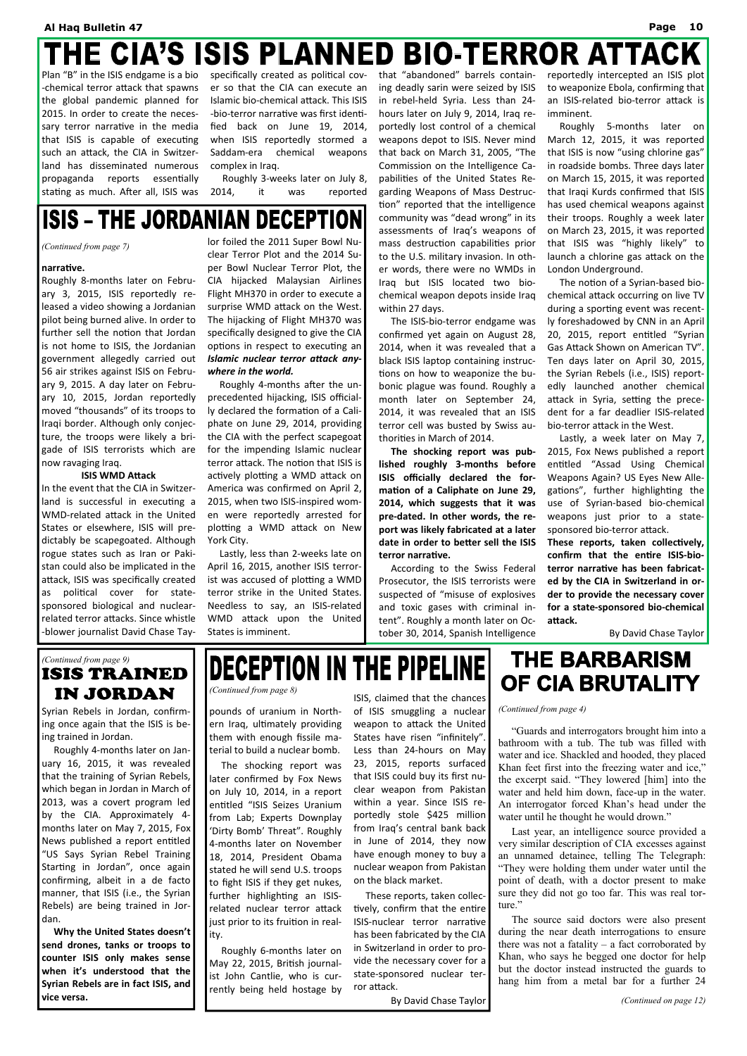#### Al Hag Bulletin 47

THE CIA'S ISIS PLANNED BIO-TERROR ATTACK

Plan "B" in the ISIS endgame is a bio -chemical terror attack that spawns the global pandemic planned for 2015. In order to create the necessary terror narrative in the media that ISIS is capable of executing such an attack, the CIA in Switzerland has disseminated numerous propaganda reports essentially stating as much. After all, ISIS was specifically created as political cover so that the CIA can execute an Islamic bio-chemical attack. This ISIS -bio-terror narrative was first identified back on June 19, 2014, when ISIS reportedly stormed a Saddam-era chemical weapons complex in Iraq.

Roughly 3-weeks later on July 8, 2014, it was reported

## **ISIS - THE JORDANIAN DECEPTION**

(Continued from page 7)

#### narrative.

Roughly 8-months later on February 3, 2015, ISIS reportedly released a video showing a Jordanian pilot being burned alive. In order to further sell the notion that Jordan is not home to ISIS, the Jordanian government allegedly carried out 56 air strikes against ISIS on February 9, 2015. A day later on February 10, 2015, Jordan reportedly moved "thousands" of its troops to Iraqi border. Although only conjecture, the troops were likely a brigade of ISIS terrorists which are now ravaging Iraq.

#### **ISIS WMD Attack**

In the event that the CIA in Switzerland is successful in executing a WMD-related attack in the United States or elsewhere, ISIS will predictably be scapegoated. Although rogue states such as Iran or Pakistan could also be implicated in the attack, ISIS was specifically created as political cover for statesponsored biological and nuclearrelated terror attacks. Since whistle -blower journalist David Chase Tay-

lor foiled the 2011 Super Bowl Nuclear Terror Plot and the 2014 Super Bowl Nuclear Terror Plot, the CIA hijacked Malaysian Airlines Flight MH370 in order to execute a surprise WMD attack on the West. The hijacking of Flight MH370 was specifically designed to give the CIA options in respect to executing an Islamic nuclear terror attack anywhere in the world.

Roughly 4-months after the unprecedented hijacking, ISIS officially declared the formation of a Caliphate on June 29, 2014, providing the CIA with the perfect scapegoat for the impending Islamic nuclear terror attack. The notion that ISIS is actively plotting a WMD attack on America was confirmed on April 2, 2015, when two ISIS-inspired women were reportedly arrested for plotting a WMD attack on New York City.

Lastly, less than 2-weeks late on April 16, 2015, another ISIS terrorist was accused of plotting a WMD terror strike in the United States. Needless to say, an ISIS-related WMD attack upon the United States is imminent.

that "abandoned" barrels containing deadly sarin were seized by ISIS in rebel-held Syria. Less than 24hours later on July 9, 2014, Irag reportedly lost control of a chemical weapons depot to ISIS. Never mind that back on March 31, 2005, "The Commission on the Intelligence Capabilities of the United States Regarding Weapons of Mass Destruction" reported that the intelligence community was "dead wrong" in its assessments of Iraq's weapons of mass destruction capabilities prior to the U.S. military invasion. In other words, there were no WMDs in Iraq but ISIS located two biochemical weapon depots inside Iraq within 27 days.

The ISIS-bio-terror endgame was confirmed yet again on August 28, 2014, when it was revealed that a black ISIS laptop containing instructions on how to weaponize the bubonic plague was found. Roughly a month later on September 24, 2014, it was revealed that an ISIS terror cell was busted by Swiss authorities in March of 2014.

The shocking report was published roughly 3-months before ISIS officially declared the formation of a Caliphate on June 29, 2014, which suggests that it was pre-dated. In other words, the report was likely fabricated at a later date in order to better sell the ISIS terror narrative.

According to the Swiss Federal Prosecutor, the ISIS terrorists were suspected of "misuse of explosives and toxic gases with criminal intent". Roughly a month later on October 30, 2014, Spanish Intelligence

reportedly intercepted an ISIS plot to weaponize Ebola, confirming that an ISIS-related bio-terror attack is imminent.

Roughly 5-months later on March 12, 2015, it was reported that ISIS is now "using chlorine gas" in roadside bombs. Three days later on March 15, 2015, it was reported that Iraqi Kurds confirmed that ISIS has used chemical weapons against their troops. Roughly a week later on March 23, 2015, it was reported that ISIS was "highly likely" to launch a chlorine gas attack on the London Underground.

The notion of a Syrian-based biochemical attack occurring on live TV during a sporting event was recently foreshadowed by CNN in an April 20, 2015, report entitled "Syrian Gas Attack Shown on American TV". Ten days later on April 30, 2015, the Syrian Rebels (i.e., ISIS) reportedly launched another chemical attack in Syria, setting the precedent for a far deadlier ISIS-related bio-terror attack in the West.

Lastly, a week later on May 7, 2015, Fox News published a report entitled "Assad Using Chemical Weapons Again? US Eyes New Allegations", further highlighting the use of Syrian-based bio-chemical weapons just prior to a statesponsored bio-terror attack.

These reports, taken collectively, confirm that the entire ISIS-bioterror narrative has been fabricated by the CIA in Switzerland in order to provide the necessary cover for a state-sponsored bio-chemical attack.

By David Chase Taylor

### (Continued from page 9) **ISIS TRAINED IN JORDAN**

Syrian Rebels in Jordan, confirming once again that the ISIS is being trained in Jordan.

Roughly 4-months later on January 16, 2015, it was revealed that the training of Syrian Rebels, which began in Jordan in March of

# **DECEPTION IN THE PIPELINE**

(Continued from page 8)

pounds of uranium in Northern Iraq, ultimately providing them with enough fissile material to build a nuclear bomb.

The shocking report was later confirmed by Fox News on July 10, 2014, in a report entitled "ISIS Seizes Uranium from Lab; Experts Downplay 'Dirty Bomb' Threat". Roughly 4-months later on November 18, 2014, President Obama stated he will send U.S. troops to fight ISIS if they get nukes, further highlighting an ISISrelated nuclear terror attack just prior to its fruition in reality.

ISIS, claimed that the chances of ISIS smuggling a nuclear weapon to attack the United States have risen "infinitely". Less than 24-hours on May 23, 2015, reports surfaced that ISIS could buy its first nuclear weapon from Pakistan

## **THE BARBARISM** OF CIA BRUTALITY

#### (Continued from page 4)

"Guards and interrogators brought him into a bathroom with a tub. The tub was filled with water and ice. Shackled and hooded, they placed Khan feet first into the freezing water and ice," the excerpt said. "They lowered [him] into the water and held him down, face-up in the water.

2013, was a covert program led by the CIA. Approximately 4months later on May 7, 2015, Fox News published a report entitled "US Says Syrian Rebel Training Starting in Jordan", once again confirming, albeit in a de facto manner, that ISIS (i.e., the Syrian Rebels) are being trained in Jordan.

Why the United States doesn't send drones, tanks or troops to counter ISIS only makes sense when it's understood that the Syrian Rebels are in fact ISIS, and vice versa.

Roughly 6-months later on May 22, 2015, British journalist John Cantlie, who is currently being held hostage by

within a year. Since ISIS reportedly stole \$425 million from Iraq's central bank back in June of 2014, they now have enough money to buy a nuclear weapon from Pakistan on the black market.

These reports, taken collectively, confirm that the entire ISIS-nuclear terror narrative has been fabricated by the CIA

in Switzerland in order to provide the necessary cover for a state-sponsored nuclear terror attack.

By David Chase Taylor

An interrogator forced Khan's head under the water until he thought he would drown."

Last year, an intelligence source provided a very similar description of CIA excesses against an unnamed detainee, telling The Telegraph: "They were holding them under water until the point of death, with a doctor present to make sure they did not go too far. This was real torture."

The source said doctors were also present during the near death interrogations to ensure there was not a fatality  $-$  a fact corroborated by Khan, who says he begged one doctor for help but the doctor instead instructed the guards to hang him from a metal bar for a further 24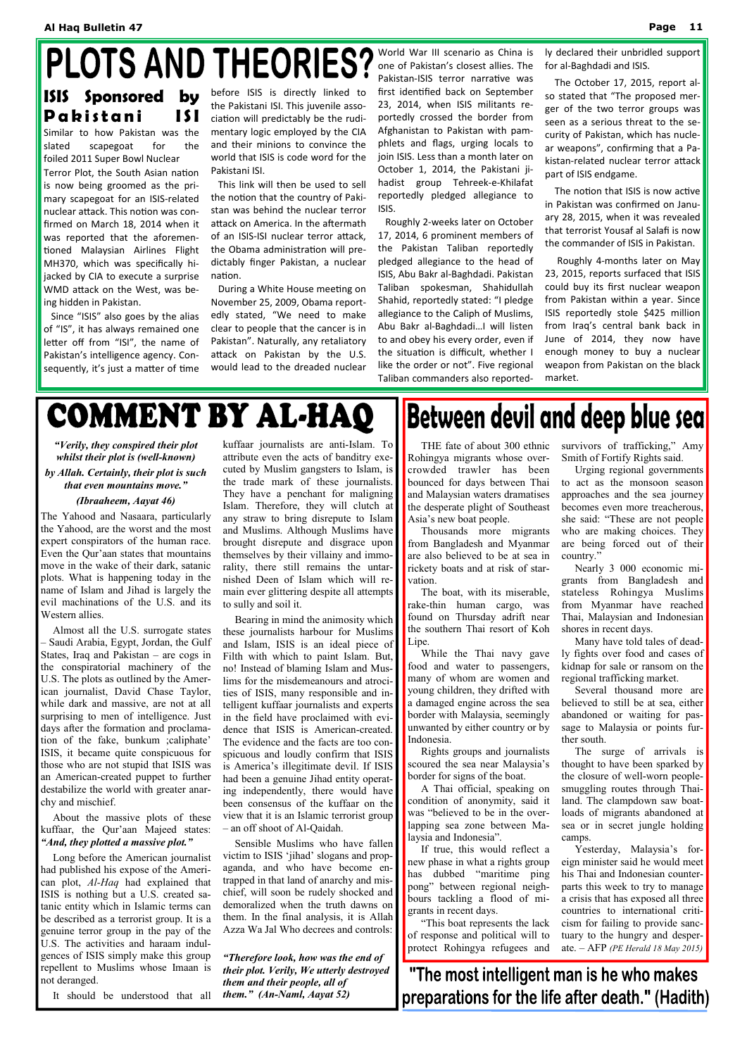### PLOTS AND THEORIES? Sponsored by before ISIS is directly linked to

#### **ISIS** Pakistani **ISI**

Similar to how Pakistan was the slated scapegoat for the foiled 2011 Super Bowl Nuclear

Terror Plot, the South Asian nation is now being groomed as the primary scapegoat for an ISIS-related nuclear attack. This notion was confirmed on March 18, 2014 when it was reported that the aforementioned Malaysian Airlines Flight MH370, which was specifically hijacked by CIA to execute a surprise WMD attack on the West, was being hidden in Pakistan.

Since "ISIS" also goes by the alias of "IS", it has always remained one letter off from "ISI", the name of Pakistan's intelligence agency. Consequently, it's just a matter of time the Pakistani ISI. This juvenile association will predictably be the rudimentary logic employed by the CIA and their minions to convince the world that ISIS is code word for the Pakistani ISI.

This link will then be used to sell the notion that the country of Pakistan was behind the nuclear terror attack on America. In the aftermath of an ISIS-ISI nuclear terror attack, the Obama administration will predictably finger Pakistan, a nuclear nation.

During a White House meeting on November 25, 2009, Obama reportedly stated, "We need to make clear to people that the cancer is in Pakistan". Naturally, any retaliatory attack on Pakistan by the U.S. would lead to the dreaded nuclear

World War III scenario as China is one of Pakistan's closest allies. The Pakistan-ISIS terror narrative was first identified back on September 23, 2014, when ISIS militants reportedly crossed the border from Afghanistan to Pakistan with pamphlets and flags, urging locals to join ISIS. Less than a month later on October 1, 2014, the Pakistani jihadist group Tehreek-e-Khilafat reportedly pledged allegiance to ISIS.

Roughly 2-weeks later on October 17, 2014, 6 prominent members of the Pakistan Taliban reportedly pledged allegiance to the head of ISIS, Abu Bakr al-Baghdadi. Pakistan Taliban spokesman, Shahidullah Shahid, reportedly stated: "I pledge allegiance to the Caliph of Muslims, Abu Bakr al-Baghdadi... I will listen to and obey his every order, even if the situation is difficult, whether I like the order or not". Five regional Taliban commanders also reportedly declared their unbridled support for al-Baghdadi and ISIS.

The October 17, 2015, report also stated that "The proposed merger of the two terror groups was seen as a serious threat to the security of Pakistan, which has nuclear weapons", confirming that a Pakistan-related nuclear terror attack part of ISIS endgame.

The notion that ISIS is now active in Pakistan was confirmed on January 28, 2015, when it was revealed that terrorist Yousaf al Salafi is now the commander of ISIS in Pakistan.

Roughly 4-months later on May 23, 2015, reports surfaced that ISIS could buy its first nuclear weapon from Pakistan within a year. Since ISIS reportedly stole \$425 million from Iraq's central bank back in June of 2014, they now have enough money to buy a nuclear weapon from Pakistan on the black market.

# COMMENT BY AL-HAQ

"Verily, they conspired their plot whilst their plot is (well-known)

#### by Allah. Certainly, their plot is such that even mountains move."

#### (Ibraaheem, Aayat 46)

The Yahood and Nasaara, particularly the Yahood, are the worst and the most expert conspirators of the human race. Even the Qur'aan states that mountains move in the wake of their dark, satanic plots. What is happening today in the name of Islam and Jihad is largely the evil machinations of the U.S. and its Western allies.

Almost all the U.S. surrogate states - Saudi Arabia, Egypt, Jordan, the Gulf States, Iraq and Pakistan  $-$  are cogs in the conspiratorial machinery of the U.S. The plots as outlined by the American journalist, David Chase Taylor, while dark and massive, are not at all surprising to men of intelligence. Just days after the formation and proclamation of the fake, bunkum ;caliphate' ISIS, it became quite conspicuous for those who are not stupid that ISIS was an American-created puppet to further destabilize the world with greater anar-

kuffaar journalists are anti-Islam. To attribute even the acts of banditry executed by Muslim gangsters to Islam, is the trade mark of these journalists. They have a penchant for maligning Islam. Therefore, they will clutch at any straw to bring disrepute to Islam and Muslims. Although Muslims have brought disrepute and disgrace upon themselves by their villainy and immorality, there still remains the untarnished Deen of Islam which will remain ever glittering despite all attempts to sully and soil it.

Bearing in mind the animosity which these journalists harbour for Muslims and Islam, ISIS is an ideal piece of Filth with which to paint Islam. But, no! Instead of blaming Islam and Muslims for the misdemeanours and atrocities of ISIS, many responsible and intelligent kuffaar journalists and experts in the field have proclaimed with evidence that ISIS is American-created. The evidence and the facts are too conspicuous and loudly confirm that ISIS is America's illegitimate devil. If ISIS had been a genuine Jihad entity operating independently, there would have

## Between devil and deep blue sea

THE fate of about 300 ethnic Rohingya migrants whose overcrowded trawler has been bounced for days between Thai and Malaysian waters dramatises the desperate plight of Southeast Asia's new boat people.

Thousands more migrants from Bangladesh and Myanmar are also believed to be at sea in rickety boats and at risk of starvation.

The boat, with its miserable, rake-thin human cargo, was found on Thursday adrift near the southern Thai resort of Koh Lipe.

While the Thai navy gave food and water to passengers, many of whom are women and young children, they drifted with a damaged engine across the sea border with Malaysia, seemingly unwanted by either country or by Indonesia.

Rights groups and journalists scoured the sea near Malaysia's border for signs of the boat.

A Thai official, speaking on condition of anonymity, said it was "believed to be in the overlapping sea zone between Malaysia and Indonesia". If true, this would reflect a new phase in what a rights group has dubbed "maritime ping pong" between regional neighbours tackling a flood of migrants in recent days.

survivors of trafficking," Amy Smith of Fortify Rights said.

Urging regional governments to act as the monsoon season approaches and the sea journey becomes even more treacherous, she said: "These are not people who are making choices. They are being forced out of their country."

Nearly 3 000 economic migrants from Bangladesh and stateless Rohingya Muslims from Myanmar have reached Thai, Malaysian and Indonesian shores in recent days.

Many have told tales of deadly fights over food and cases of kidnap for sale or ransom on the regional trafficking market.

Several thousand more are believed to still be at sea, either abandoned or waiting for passage to Malaysia or points further south.

The surge of arrivals is thought to have been sparked by the closure of well-worn peoplesmuggling routes through Thailand. The clampdown saw boatloads of migrants abandoned at sea or in secret jungle holding camps. Yesterday, Malaysia's foreign minister said he would meet his Thai and Indonesian counterparts this week to try to manage a crisis that has exposed all three countries to international criticism for failing to provide sanctuary to the hungry and desperate.  $-$  AFP (PE Herald 18 May 2015)

chy and mischief.

About the massive plots of these kuffaar, the Qur'aan Majeed states: "And, they plotted a massive plot."

Long before the American journalist had published his expose of the American plot, Al-Haq had explained that ISIS is nothing but a U.S. created satanic entity which in Islamic terms can be described as a terrorist group. It is a genuine terror group in the pay of the U.S. The activities and haraam indulgences of ISIS simply make this group repellent to Muslims whose Imaan is not deranged.

It should be understood that all

been consensus of the kuffaar on the view that it is an Islamic terrorist group - an off shoot of Al-Qaidah.

Sensible Muslims who have fallen victim to ISIS 'jihad' slogans and propaganda, and who have become entrapped in that land of anarchy and mischief, will soon be rudely shocked and demoralized when the truth dawns on them. In the final analysis, it is Allah Azza Wa Jal Who decrees and controls:

"Therefore look, how was the end of their plot. Verily, We utterly destroyed them and their people, all of them."  $(An$ -Naml, Aayat 52)

"This boat represents the lack of response and political will to protect Rohingya refugees and

"The most intelligent man is he who makes preparations for the life after death." (Hadith)